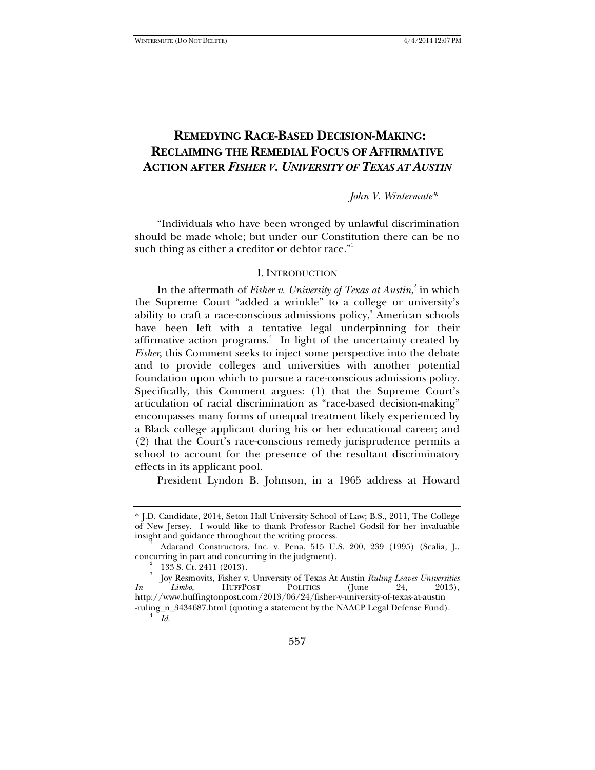# **REMEDYING RACE-BASED DECISION-MAKING: RECLAIMING THE REMEDIAL FOCUS OF AFFIRMATIVE ACTION AFTER** *FISHER V. UNIVERSITY OF TEXAS AT AUSTIN*

*John V. Wintermute\** 

"Individuals who have been wronged by unlawful discrimination should be made whole; but under our Constitution there can be no such thing as either a creditor or debtor race."

#### I. INTRODUCTION

In the aftermath of *Fisher v. University of Texas at Austin*,<sup>2</sup> in which the Supreme Court "added a wrinkle" to a college or university's ability to craft a race-conscious admissions policy,<sup>3</sup> American schools have been left with a tentative legal underpinning for their affirmative action programs.<sup>4</sup> In light of the uncertainty created by *Fisher*, this Comment seeks to inject some perspective into the debate and to provide colleges and universities with another potential foundation upon which to pursue a race-conscious admissions policy. Specifically, this Comment argues: (1) that the Supreme Court's articulation of racial discrimination as "race-based decision-making" encompasses many forms of unequal treatment likely experienced by a Black college applicant during his or her educational career; and (2) that the Court's race-conscious remedy jurisprudence permits a school to account for the presence of the resultant discriminatory effects in its applicant pool.

President Lyndon B. Johnson, in a 1965 address at Howard

<sup>\*</sup> J.D. Candidate, 2014, Seton Hall University School of Law; B.S., 2011, The College of New Jersey. I would like to thank Professor Rachel Godsil for her invaluable insight and guidance throughout the writing process. 1

Adarand Constructors, Inc. v. Pena, 515 U.S. 200, 239 (1995) (Scalia, J., concurring in part and concurring in the judgment). 2

 <sup>133</sup> S. Ct. 2411 (2013).

<sup>3</sup> Joy Resmovits, Fisher v. University of Texas At Austin *Ruling Leaves Universities In Limbo*, HUFFPOST POLITICS (June 24, 2013), http://www.huffingtonpost.com/2013/06/24/fisher-v-university-of-texas-at-austin -ruling\_n\_3434687.html (quoting a statement by the NAACP Legal Defense Fund). 4

*Id*.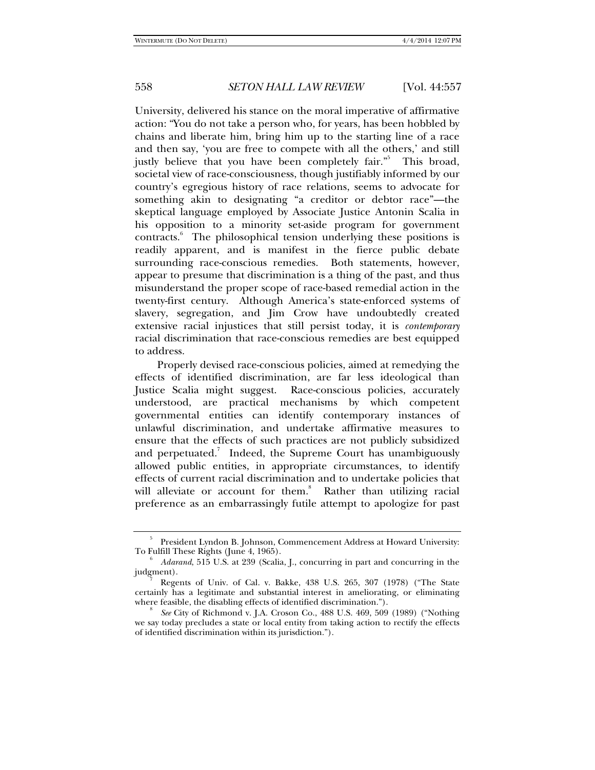University, delivered his stance on the moral imperative of affirmative action: "You do not take a person who, for years, has been hobbled by chains and liberate him, bring him up to the starting line of a race and then say, 'you are free to compete with all the others,' and still justly believe that you have been completely fair."<sup>5</sup> This broad, societal view of race-consciousness, though justifiably informed by our country's egregious history of race relations, seems to advocate for something akin to designating "a creditor or debtor race"—the skeptical language employed by Associate Justice Antonin Scalia in his opposition to a minority set-aside program for government contracts.<sup>6</sup> The philosophical tension underlying these positions is readily apparent, and is manifest in the fierce public debate surrounding race-conscious remedies. Both statements, however, appear to presume that discrimination is a thing of the past, and thus misunderstand the proper scope of race-based remedial action in the twenty-first century. Although America's state-enforced systems of slavery, segregation, and Jim Crow have undoubtedly created extensive racial injustices that still persist today, it is *contemporary* racial discrimination that race-conscious remedies are best equipped to address.

Properly devised race-conscious policies, aimed at remedying the effects of identified discrimination, are far less ideological than Justice Scalia might suggest. Race-conscious policies, accurately understood, are practical mechanisms by which competent governmental entities can identify contemporary instances of unlawful discrimination, and undertake affirmative measures to ensure that the effects of such practices are not publicly subsidized and perpetuated.<sup>7</sup> Indeed, the Supreme Court has unambiguously allowed public entities, in appropriate circumstances, to identify effects of current racial discrimination and to undertake policies that will alleviate or account for them.<sup>8</sup> Rather than utilizing racial preference as an embarrassingly futile attempt to apologize for past

<sup>5</sup> President Lyndon B. Johnson, Commencement Address at Howard University: To Fulfill These Rights (June 4, 1965). 6

*Adarand*, 515 U.S. at 239 (Scalia, J., concurring in part and concurring in the judgment).

Regents of Univ. of Cal. v. Bakke, 438 U.S. 265, 307 (1978) ("The State certainly has a legitimate and substantial interest in ameliorating, or eliminating where feasible, the disabling effects of identified discrimination.").

*See* City of Richmond v. J.A. Croson Co., 488 U.S. 469, 509 (1989) ("Nothing we say today precludes a state or local entity from taking action to rectify the effects of identified discrimination within its jurisdiction.").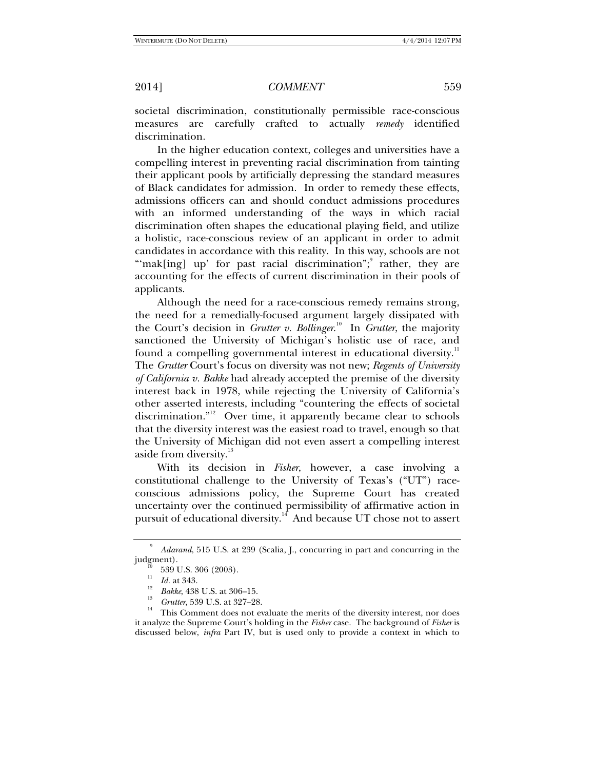societal discrimination, constitutionally permissible race-conscious measures are carefully crafted to actually *remedy* identified discrimination.

In the higher education context, colleges and universities have a compelling interest in preventing racial discrimination from tainting their applicant pools by artificially depressing the standard measures of Black candidates for admission. In order to remedy these effects, admissions officers can and should conduct admissions procedures with an informed understanding of the ways in which racial discrimination often shapes the educational playing field, and utilize a holistic, race-conscious review of an applicant in order to admit candidates in accordance with this reality. In this way, schools are not "mak[ing] up' for past racial discrimination"; rather, they are accounting for the effects of current discrimination in their pools of applicants.

Although the need for a race-conscious remedy remains strong, the need for a remedially-focused argument largely dissipated with the Court's decision in *Grutter v. Bollinger*. 10 In *Grutter*, the majority sanctioned the University of Michigan's holistic use of race, and found a compelling governmental interest in educational diversity.<sup>11</sup> The *Grutter* Court's focus on diversity was not new; *Regents of University of California v. Bakke* had already accepted the premise of the diversity interest back in 1978, while rejecting the University of California's other asserted interests, including "countering the effects of societal discrimination."<sup>12</sup> Over time, it apparently became clear to schools that the diversity interest was the easiest road to travel, enough so that the University of Michigan did not even assert a compelling interest aside from diversity.<sup>13</sup>

With its decision in *Fisher*, however, a case involving a constitutional challenge to the University of Texas's ("UT") raceconscious admissions policy, the Supreme Court has created uncertainty over the continued permissibility of affirmative action in pursuit of educational diversity.<sup>14</sup> And because UT chose not to assert

<sup>9</sup> <sup>9</sup> *Adarand*, 515 U.S. at 239 (Scalia, J., concurring in part and concurring in the judgment).

 $\frac{10}{11}$  539 U.S. 306 (2003).

 $\frac{11}{12}$  *Id.* at 343.

<sup>&</sup>lt;sup>12</sup> *Bakke*, 438 U.S. at 306–15.<br><sup>13</sup> *Grutter*, 539 U.S. at 327–28.

<sup>&</sup>lt;sup>14</sup> This Comment does not evaluate the merits of the diversity interest, nor does it analyze the Supreme Court's holding in the *Fisher* case. The background of *Fisher* is discussed below, *infra* Part IV, but is used only to provide a context in which to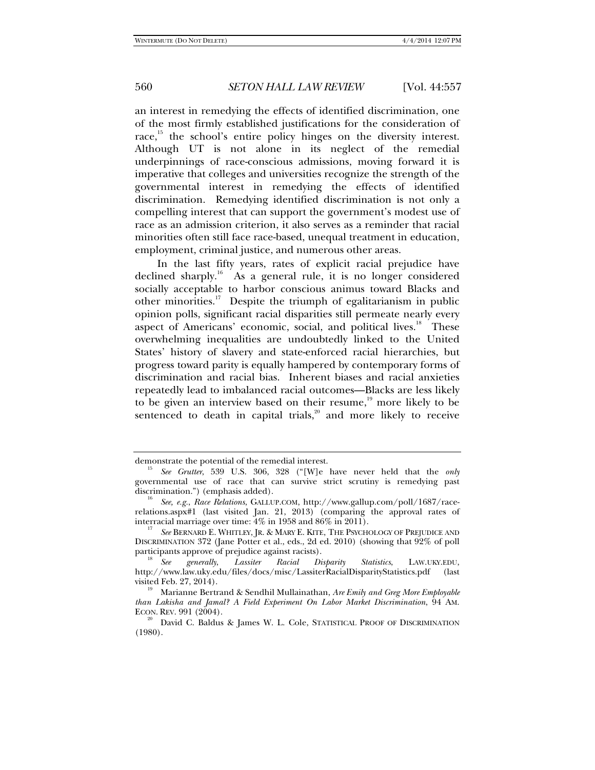an interest in remedying the effects of identified discrimination, one of the most firmly established justifications for the consideration of race, $^{15}$  the school's entire policy hinges on the diversity interest. Although UT is not alone in its neglect of the remedial underpinnings of race-conscious admissions, moving forward it is imperative that colleges and universities recognize the strength of the governmental interest in remedying the effects of identified discrimination. Remedying identified discrimination is not only a compelling interest that can support the government's modest use of race as an admission criterion, it also serves as a reminder that racial minorities often still face race-based, unequal treatment in education, employment, criminal justice, and numerous other areas.

In the last fifty years, rates of explicit racial prejudice have declined sharply.<sup>16</sup> As a general rule, it is no longer considered socially acceptable to harbor conscious animus toward Blacks and other minorities.<sup>17</sup> Despite the triumph of egalitarianism in public opinion polls, significant racial disparities still permeate nearly every aspect of Americans' economic, social, and political lives.<sup>18</sup> These overwhelming inequalities are undoubtedly linked to the United States' history of slavery and state-enforced racial hierarchies, but progress toward parity is equally hampered by contemporary forms of discrimination and racial bias. Inherent biases and racial anxieties repeatedly lead to imbalanced racial outcomes—Blacks are less likely to be given an interview based on their resume, $19$  more likely to be sentenced to death in capital trials, $2^{\circ}$  and more likely to receive

demonstrate the potential of the remedial interest.

*See Grutter*, 539 U.S. 306, 328 ("[W]e have never held that the *only* governmental use of race that can survive strict scrutiny is remedying past

<sup>&</sup>lt;sup>16</sup> See, e.g., *Race Relations*, GALLUP.COM, http://www.gallup.com/poll/1687/racerelations.aspx#1 (last visited Jan. 21, 2013) (comparing the approval rates of interracial marriage over time:  $4\%$  in 1958 and  $86\%$  in 2011).

*See* BERNARD E. WHITLEY, JR. & MARY E. KITE, THE PSYCHOLOGY OF PREJUDICE AND DISCRIMINATION 372 (Jane Potter et al., eds., 2d ed. 2010) (showing that 92% of poll participants approve of prejudice against racists).<br><sup>18</sup> See generally, Lassiter Racial Disparity

*Statistics*, LAW.UKY.EDU, http://www.law.uky.edu/files/docs/misc/LassiterRacialDisparityStatistics.pdf (last visited Feb. 27, 2014). 19 Marianne Bertrand & Sendhil Mullainathan, *Are Emily and Greg More Employable* 

*than Lakisha and Jamal? A Field Experiment On Labor Market Discrimination*, 94 AM.

 $^{20}$  David C. Baldus & James W. L. Cole, STATISTICAL PROOF OF DISCRIMINATION (1980).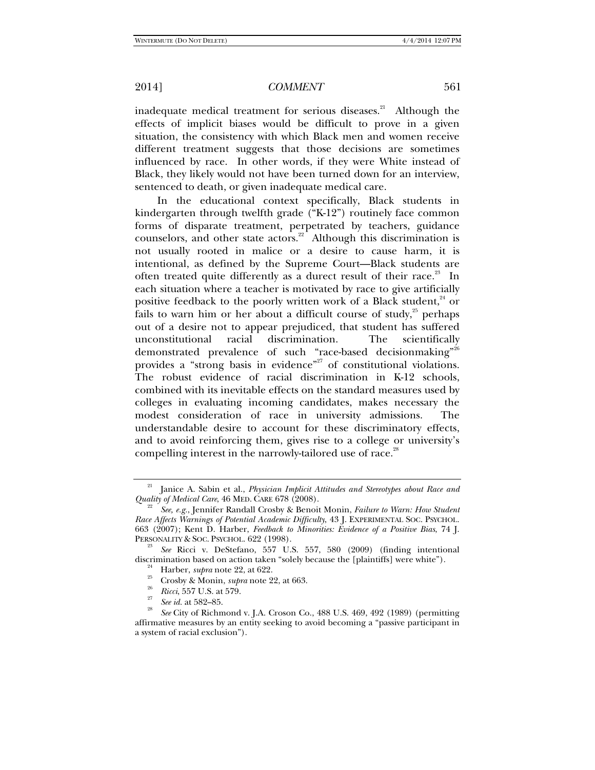inadequate medical treatment for serious diseases.<sup>21</sup> Although the effects of implicit biases would be difficult to prove in a given situation, the consistency with which Black men and women receive different treatment suggests that those decisions are sometimes influenced by race. In other words, if they were White instead of Black, they likely would not have been turned down for an interview, sentenced to death, or given inadequate medical care.

In the educational context specifically, Black students in kindergarten through twelfth grade ("K-12") routinely face common forms of disparate treatment, perpetrated by teachers, guidance counselors, and other state actors.<sup>22</sup> Although this discrimination is not usually rooted in malice or a desire to cause harm, it is intentional, as defined by the Supreme Court—Black students are often treated quite differently as a durect result of their race.<sup>23</sup> In each situation where a teacher is motivated by race to give artificially positive feedback to the poorly written work of a Black student,<sup>24</sup> or fails to warn him or her about a difficult course of study, $25$  perhaps out of a desire not to appear prejudiced, that student has suffered unconstitutional racial discrimination. The scientifically demonstrated prevalence of such "race-based decisionmaking"<sup>26</sup> provides a "strong basis in evidence"<sup>27</sup> of constitutional violations. The robust evidence of racial discrimination in K-12 schools, combined with its inevitable effects on the standard measures used by colleges in evaluating incoming candidates, makes necessary the modest consideration of race in university admissions. The understandable desire to account for these discriminatory effects, and to avoid reinforcing them, gives rise to a college or university's compelling interest in the narrowly-tailored use of race.<sup>28</sup>

<sup>21</sup> Janice A. Sabin et al., *Physician Implicit Attitudes and Stereotypes about Race and Quality of Medical Care, 46 MED. CARE 678 (2008).* 

*See, e.g.*, Jennifer Randall Crosby & Benoit Monin, *Failure to Warn: How Student Race Affects Warnings of Potential Academic Difficulty*, 43 J. EXPERIMENTAL SOC. PSYCHOL. 663 (2007); Kent D. Harber, *Feedback to Minorities: Evidence of a Positive Bias*, 74 J.

<sup>&</sup>lt;sup>23</sup> *See* Ricci v. DeStefano, 557 U.S. 557, 580 (2009) (finding intentional discrimination based on action taken "solely because the [plaintiffs] were white").<br><sup>24</sup> Harber, *supra* note 22, at 622.<br><sup>25</sup> Crosby & Monin, *supra* note 22, at 663.

<sup>&</sup>lt;sup>26</sup> *Ricci*, 557 U.S. at 579.<br><sup>27</sup> *See id.* at 582–85.

<sup>&</sup>lt;sup>28</sup> *See* City of Richmond v. J.A. Croson Co., 488 U.S. 469, 492 (1989) (permitting affirmative measures by an entity seeking to avoid becoming a "passive participant in a system of racial exclusion").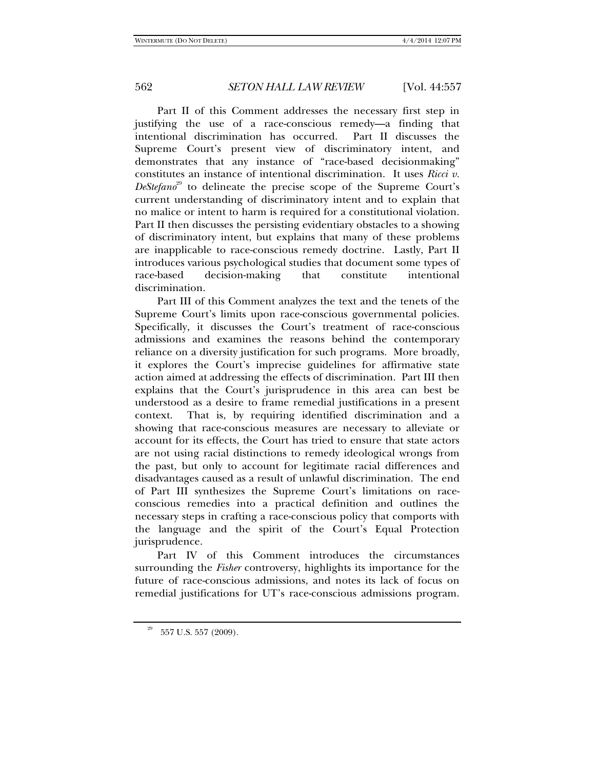Part II of this Comment addresses the necessary first step in justifying the use of a race-conscious remedy—a finding that intentional discrimination has occurred. Part II discusses the Supreme Court's present view of discriminatory intent, and demonstrates that any instance of "race-based decisionmaking" constitutes an instance of intentional discrimination. It uses *Ricci v. DeStefano*<sup>29</sup> to delineate the precise scope of the Supreme Court's current understanding of discriminatory intent and to explain that no malice or intent to harm is required for a constitutional violation. Part II then discusses the persisting evidentiary obstacles to a showing of discriminatory intent, but explains that many of these problems are inapplicable to race-conscious remedy doctrine. Lastly, Part II introduces various psychological studies that document some types of race-based decision-making that constitute intentional discrimination.

Part III of this Comment analyzes the text and the tenets of the Supreme Court's limits upon race-conscious governmental policies. Specifically, it discusses the Court's treatment of race-conscious admissions and examines the reasons behind the contemporary reliance on a diversity justification for such programs. More broadly, it explores the Court's imprecise guidelines for affirmative state action aimed at addressing the effects of discrimination. Part III then explains that the Court's jurisprudence in this area can best be understood as a desire to frame remedial justifications in a present context. That is, by requiring identified discrimination and a showing that race-conscious measures are necessary to alleviate or account for its effects, the Court has tried to ensure that state actors are not using racial distinctions to remedy ideological wrongs from the past, but only to account for legitimate racial differences and disadvantages caused as a result of unlawful discrimination. The end of Part III synthesizes the Supreme Court's limitations on raceconscious remedies into a practical definition and outlines the necessary steps in crafting a race-conscious policy that comports with the language and the spirit of the Court's Equal Protection jurisprudence.

Part IV of this Comment introduces the circumstances surrounding the *Fisher* controversy, highlights its importance for the future of race-conscious admissions, and notes its lack of focus on remedial justifications for UT's race-conscious admissions program.

 $^{29}$  –  $557$  U.S. 557 (2009).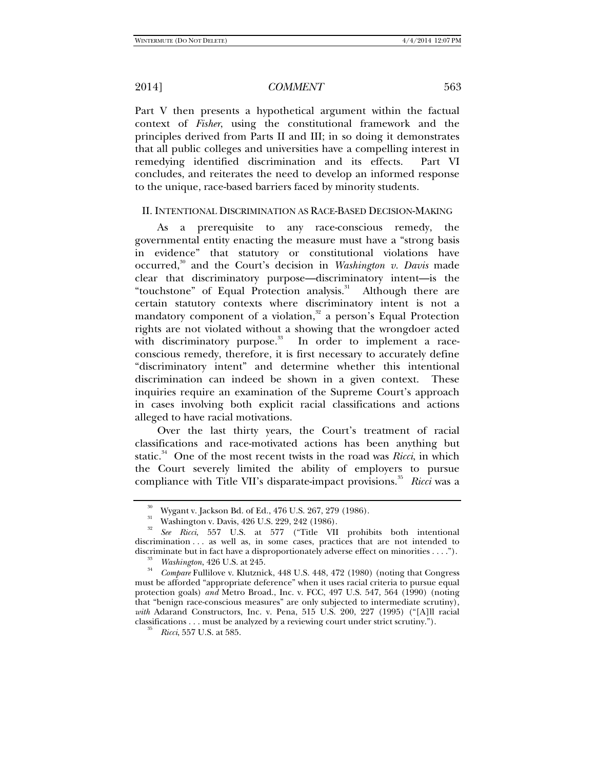Part V then presents a hypothetical argument within the factual context of *Fisher*, using the constitutional framework and the principles derived from Parts II and III; in so doing it demonstrates that all public colleges and universities have a compelling interest in remedying identified discrimination and its effects. Part VI concludes, and reiterates the need to develop an informed response to the unique, race-based barriers faced by minority students.

#### II. INTENTIONAL DISCRIMINATION AS RACE-BASED DECISION-MAKING

As a prerequisite to any race-conscious remedy, the governmental entity enacting the measure must have a "strong basis in evidence" that statutory or constitutional violations have occurred,<sup>30</sup> and the Court's decision in *Washington v. Davis* made clear that discriminatory purpose—discriminatory intent—is the "touchstone" of Equal Protection analysis.<sup>31</sup> Although there are certain statutory contexts where discriminatory intent is not a mandatory component of a violation, $32$  a person's Equal Protection rights are not violated without a showing that the wrongdoer acted with discriminatory purpose.<sup>33</sup> In order to implement a raceconscious remedy, therefore, it is first necessary to accurately define "discriminatory intent" and determine whether this intentional discrimination can indeed be shown in a given context. These inquiries require an examination of the Supreme Court's approach in cases involving both explicit racial classifications and actions alleged to have racial motivations.

Over the last thirty years, the Court's treatment of racial classifications and race-motivated actions has been anything but static.<sup>34</sup> One of the most recent twists in the road was *Ricci*, in which the Court severely limited the ability of employers to pursue compliance with Title VII's disparate-impact provisions.<sup>35</sup> *Ricci* was a

Wygant v. Jackson Bd. of Ed., 476 U.S. 267, 279 (1986).

Washington v. Davis, 426 U.S. 229, 242 (1986).

<sup>32</sup> *See Ricci*, 557 U.S. at 577 ("Title VII prohibits both intentional discrimination . . . as well as, in some cases, practices that are not intended to discriminate but in fact have a disproportionately adverse effect on minorities . . . .").

<sup>&</sup>lt;sup>33</sup> *Washington*, 426 U.S. at 245.

*Compare* Fullilove v. Klutznick, 448 U.S. 448, 472 (1980) (noting that Congress must be afforded "appropriate deference" when it uses racial criteria to pursue equal protection goals) *and* Metro Broad., Inc. v. FCC, 497 U.S. 547, 564 (1990) (noting that "benign race-conscious measures" are only subjected to intermediate scrutiny), *with* Adarand Constructors, Inc. v. Pena, 515 U.S. 200, 227 (1995) ("[A]ll racial classifications . . . must be analyzed by a reviewing court under strict scrutiny."). 35 *Ricci*, 557 U.S. at 585.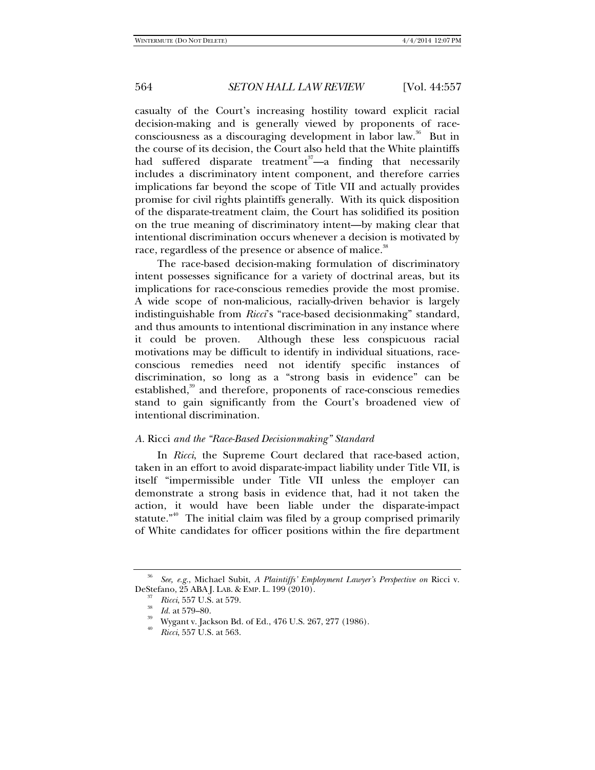casualty of the Court's increasing hostility toward explicit racial decision-making and is generally viewed by proponents of raceconsciousness as a discouraging development in labor law.<sup>36</sup> But in the course of its decision, the Court also held that the White plaintiffs had suffered disparate treatment<sup>37</sup>—a finding that necessarily includes a discriminatory intent component, and therefore carries implications far beyond the scope of Title VII and actually provides promise for civil rights plaintiffs generally. With its quick disposition of the disparate-treatment claim, the Court has solidified its position on the true meaning of discriminatory intent—by making clear that intentional discrimination occurs whenever a decision is motivated by race, regardless of the presence or absence of malice.<sup>38</sup>

The race-based decision-making formulation of discriminatory intent possesses significance for a variety of doctrinal areas, but its implications for race-conscious remedies provide the most promise. A wide scope of non-malicious, racially-driven behavior is largely indistinguishable from *Ricci*'s "race-based decisionmaking" standard, and thus amounts to intentional discrimination in any instance where it could be proven. Although these less conspicuous racial motivations may be difficult to identify in individual situations, raceconscious remedies need not identify specific instances of discrimination, so long as a "strong basis in evidence" can be established,<sup>39</sup> and therefore, proponents of race-conscious remedies stand to gain significantly from the Court's broadened view of intentional discrimination.

#### *A.* Ricci *and the "Race-Based Decisionmaking" Standard*

In *Ricci*, the Supreme Court declared that race-based action, taken in an effort to avoid disparate-impact liability under Title VII, is itself "impermissible under Title VII unless the employer can demonstrate a strong basis in evidence that, had it not taken the action, it would have been liable under the disparate-impact statute." $40$  The initial claim was filed by a group comprised primarily of White candidates for officer positions within the fire department

<sup>36</sup> *See, e.g.*, Michael Subit, *A Plaintiffs' Employment Lawyer's Perspective on* Ricci v. DeStefano, 25 ABA J. LAB. & EMP. L. 199 (2010).

*Ricci*, 557 U.S. at 579.<br>*Id.* at 579–80.

Wygant v. Jackson Bd. of Ed., 476 U.S. 267, 277 (1986).

<sup>40</sup> *Ricci*, 557 U.S. at 563.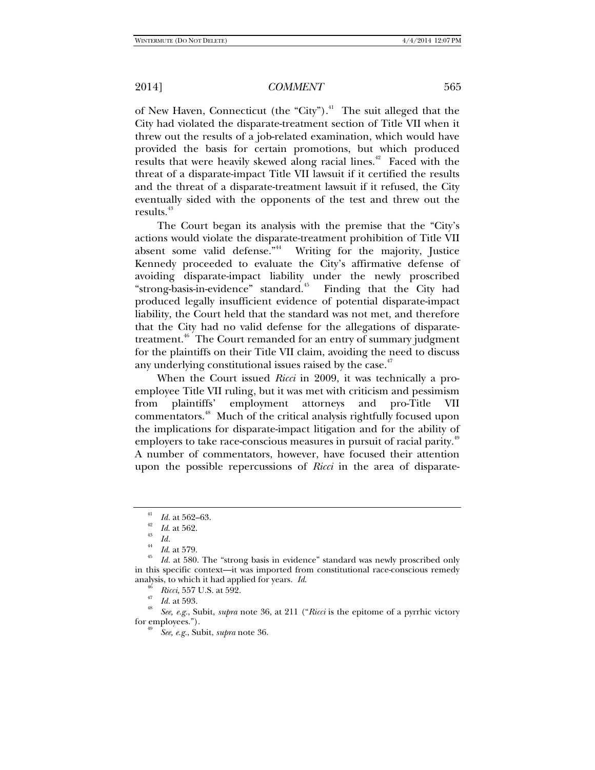of New Haven, Connecticut (the "City"). $4$ <sup>1</sup> The suit alleged that the City had violated the disparate-treatment section of Title VII when it threw out the results of a job-related examination, which would have provided the basis for certain promotions, but which produced results that were heavily skewed along racial lines.<sup>42</sup> Faced with the threat of a disparate-impact Title VII lawsuit if it certified the results and the threat of a disparate-treatment lawsuit if it refused, the City eventually sided with the opponents of the test and threw out the results.<sup>43</sup>

The Court began its analysis with the premise that the "City's actions would violate the disparate-treatment prohibition of Title VII absent some valid defense."<sup>44</sup> Writing for the majority, Justice Kennedy proceeded to evaluate the City's affirmative defense of avoiding disparate-impact liability under the newly proscribed "strong-basis-in-evidence" standard.<sup>45</sup> Finding that the City had produced legally insufficient evidence of potential disparate-impact liability, the Court held that the standard was not met, and therefore that the City had no valid defense for the allegations of disparatetreatment.<sup>46</sup> The Court remanded for an entry of summary judgment for the plaintiffs on their Title VII claim, avoiding the need to discuss any underlying constitutional issues raised by the case.<sup>47</sup>

When the Court issued *Ricci* in 2009, it was technically a proemployee Title VII ruling, but it was met with criticism and pessimism from plaintiffs' employment attorneys and pro-Title VII commentators.<sup>48</sup> Much of the critical analysis rightfully focused upon the implications for disparate-impact litigation and for the ability of employers to take race-conscious measures in pursuit of racial parity.<sup>49</sup> A number of commentators, however, have focused their attention upon the possible repercussions of *Ricci* in the area of disparate-

analysis, to which it had applied for years. *Id.*<br>
<sup>46</sup> *Ricci*, 557 U.S. at 592.<br>
<sup>47</sup> *Id.* at 593.<br>
<sup>48</sup> *See, e.g.*, Subit, *supra* note 36, at 211 (*"Ricci* is the epitome of a pyrrhic victory<br>
for employees.").

for employees."). 49 *See, e.g.*, Subit, *supra* note 36.

<sup>41</sup>

*Id.* at 562–63. 42 *Id*. at 562. 43 *Id.* 44 *Id*. at 579. 45 *Id.* at 580. The "strong basis in evidence" standard was newly proscribed only in this specific context—it was imported from constitutional race-conscious remedy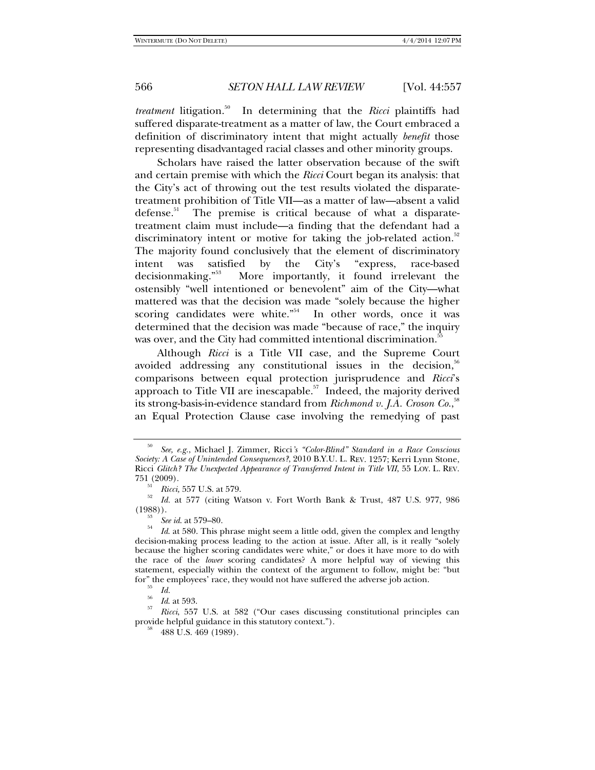*treatment* litigation.<sup>50</sup> In determining that the *Ricci* plaintiffs had suffered disparate-treatment as a matter of law, the Court embraced a definition of discriminatory intent that might actually *benefit* those representing disadvantaged racial classes and other minority groups.

Scholars have raised the latter observation because of the swift and certain premise with which the *Ricci* Court began its analysis: that the City's act of throwing out the test results violated the disparatetreatment prohibition of Title VII—as a matter of law—absent a valid defense. $51$  The premise is critical because of what a disparatetreatment claim must include—a finding that the defendant had a discriminatory intent or motive for taking the job-related action.<sup>52</sup> The majority found conclusively that the element of discriminatory intent was satisfied by the City's "express, race-based decisionmaking."<sup>53</sup> More importantly, it found irrelevant the ostensibly "well intentioned or benevolent" aim of the City—what mattered was that the decision was made "solely because the higher scoring candidates were white."<sup>54</sup> In other words, once it was determined that the decision was made "because of race," the inquiry was over, and the City had committed intentional discrimination.<sup>55</sup>

Although *Ricci* is a Title VII case, and the Supreme Court avoided addressing any constitutional issues in the decision,  $56$ comparisons between equal protection jurisprudence and *Ricci*'s approach to Title VII are inescapable. $57$  Indeed, the majority derived its strong-basis-in-evidence standard from *Richmond v. J.A. Croson Co.*, 58 an Equal Protection Clause case involving the remedying of past

<sup>50</sup> *See, e.g.*, Michael J. Zimmer, Ricci*'s "Color-Blind" Standard in a Race Conscious Society: A Case of Unintended Consequences?*, 2010 B.Y.U. L. REV. 1257; Kerri Lynn Stone, Ricci *Glitch? The Unexpected Appearance of Transferred Intent in Title VII*, 55 LOY. L. REV. 751 (2009).

 $\frac{1}{2}$  *Ricci*, 557 U.S. at 579.

*Id.* at 577 (citing Watson v. Fort Worth Bank & Trust, 487 U.S. 977, 986  $(1988)$ ).<br><sup>53</sup> *See id.* at 579–80.

<sup>&</sup>lt;sup>54</sup> *Id.* at 580. This phrase might seem a little odd, given the complex and lengthy decision-making process leading to the action at issue. After all, is it really "solely because the higher scoring candidates were white," or does it have more to do with the race of the *lower* scoring candidates? A more helpful way of viewing this statement, especially within the context of the argument to follow, might be: "but for" the employees' race, they would not have suffered the adverse job action.<br><sup>55</sup> *Id.* at 593.<br><sup>57</sup> *Id.* at 593.

*Ricci*, 557 U.S. at 582 ("Our cases discussing constitutional principles can provide helpful guidance in this statutory context.").<br><sup>58</sup> 488 U.S. 469 (1989).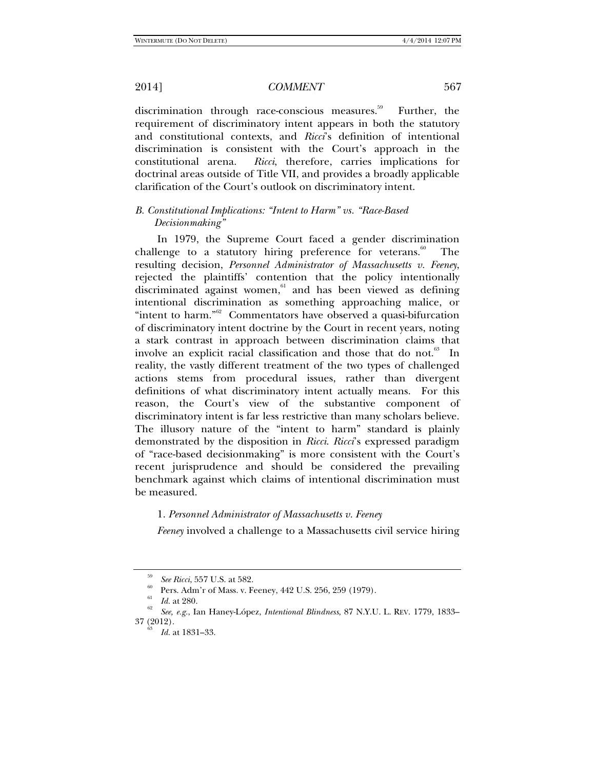discrimination through race-conscious measures.<sup>59</sup> Further, the requirement of discriminatory intent appears in both the statutory and constitutional contexts, and *Ricci*'s definition of intentional discrimination is consistent with the Court's approach in the constitutional arena. *Ricci*, therefore, carries implications for doctrinal areas outside of Title VII, and provides a broadly applicable clarification of the Court's outlook on discriminatory intent.

# *B. Constitutional Implications: "Intent to Harm" vs. "Race-Based Decisionmaking"*

In 1979, the Supreme Court faced a gender discrimination challenge to a statutory hiring preference for veterans. $60$  The resulting decision, *Personnel Administrator of Massachusetts v. Feeney*, rejected the plaintiffs' contention that the policy intentionally discriminated against women, $61$  and has been viewed as defining intentional discrimination as something approaching malice, or "intent to harm."<sup>62</sup> Commentators have observed a quasi-bifurcation of discriminatory intent doctrine by the Court in recent years, noting a stark contrast in approach between discrimination claims that involve an explicit racial classification and those that do not.<sup>63</sup> In reality, the vastly different treatment of the two types of challenged actions stems from procedural issues, rather than divergent definitions of what discriminatory intent actually means. For this reason, the Court's view of the substantive component of discriminatory intent is far less restrictive than many scholars believe. The illusory nature of the "intent to harm" standard is plainly demonstrated by the disposition in *Ricci*. *Ricci*'s expressed paradigm of "race-based decisionmaking" is more consistent with the Court's recent jurisprudence and should be considered the prevailing benchmark against which claims of intentional discrimination must be measured.

#### 1. *Personnel Administrator of Massachusetts v. Feeney*

*Feeney* involved a challenge to a Massachusetts civil service hiring

<sup>59</sup>

*See Ricci*, 557 U.S. at 582.<br>Pers. Adm'r of Mass. v. Feeney, 442 U.S. 256, 259 (1979).

*Id.* at 280.

*See, e.g.*, Ian Haney-López, *Intentional Blindness*, 87 N.Y.U. L. REV. 1779, 1833–

Id. at 1831–33.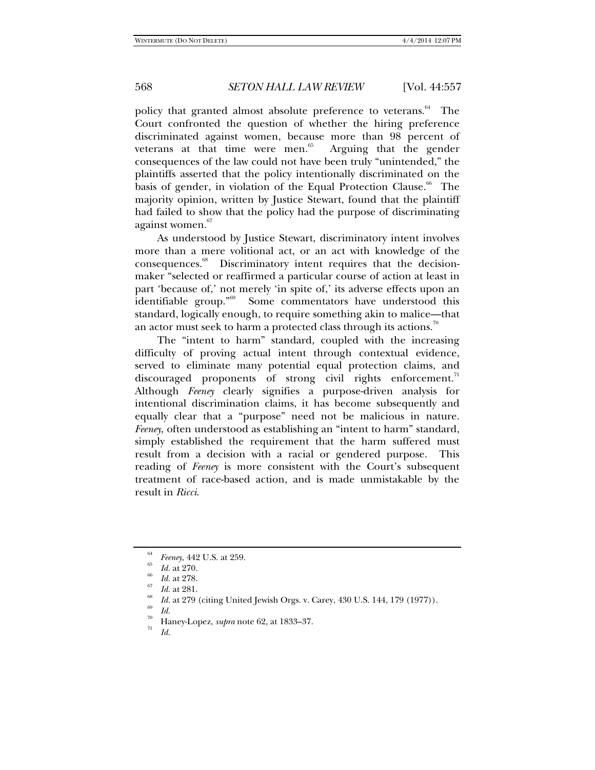policy that granted almost absolute preference to veterans.<sup>64</sup> The Court confronted the question of whether the hiring preference discriminated against women, because more than 98 percent of veterans at that time were men. $65$  Arguing that the gender consequences of the law could not have been truly "unintended," the plaintiffs asserted that the policy intentionally discriminated on the basis of gender, in violation of the Equal Protection Clause.<sup>66</sup> The majority opinion, written by Justice Stewart, found that the plaintiff had failed to show that the policy had the purpose of discriminating against women.<sup>67</sup>

As understood by Justice Stewart, discriminatory intent involves more than a mere volitional act, or an act with knowledge of the consequences.68 Discriminatory intent requires that the decisionmaker "selected or reaffirmed a particular course of action at least in part 'because of,' not merely 'in spite of,' its adverse effects upon an identifiable group."69 Some commentators have understood this standard, logically enough, to require something akin to malice—that an actor must seek to harm a protected class through its actions.<sup>70</sup>

The "intent to harm" standard, coupled with the increasing difficulty of proving actual intent through contextual evidence, served to eliminate many potential equal protection claims, and discouraged proponents of strong civil rights enforcement.<sup>71</sup> Although *Feeney* clearly signifies a purpose-driven analysis for intentional discrimination claims, it has become subsequently and equally clear that a "purpose" need not be malicious in nature. *Feeney*, often understood as establishing an "intent to harm" standard, simply established the requirement that the harm suffered must result from a decision with a racial or gendered purpose. This reading of *Feeney* is more consistent with the Court's subsequent treatment of race-based action, and is made unmistakable by the result in *Ricci*.

<sup>&</sup>lt;sup>64</sup> *Feeney*, 442 U.S. at 259.<br><sup>65</sup> *Id.* at 270.

*Id.* at 278.<br>*Id.* at 281.

*Id.* at 279 (citing United Jewish Orgs. v. Carey, 430 U.S. 144, 179 (1977)). *Id.* 

<sup>&</sup>lt;sup>70</sup> Haney-Lopez, *supra* note 62, at 1833–37.<br> $I_d$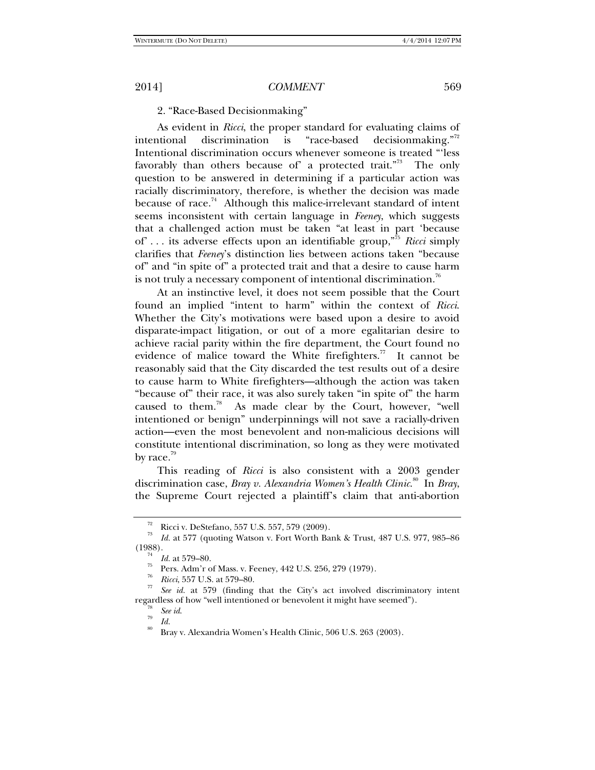## 2. "Race-Based Decisionmaking"

As evident in *Ricci*, the proper standard for evaluating claims of intentional discrimination is "race-based decisionmaking."<sup>72</sup> Intentional discrimination occurs whenever someone is treated "'less favorably than others because of' a protected trait."<sup>73</sup> The only question to be answered in determining if a particular action was racially discriminatory, therefore, is whether the decision was made because of race.<sup>74</sup> Although this malice-irrelevant standard of intent seems inconsistent with certain language in *Feeney*, which suggests that a challenged action must be taken "at least in part 'because of' . . . its adverse effects upon an identifiable group,"75 *Ricci* simply clarifies that *Feeney*'s distinction lies between actions taken "because of" and "in spite of" a protected trait and that a desire to cause harm is not truly a necessary component of intentional discrimination.<sup>76</sup>

At an instinctive level, it does not seem possible that the Court found an implied "intent to harm" within the context of *Ricci*. Whether the City's motivations were based upon a desire to avoid disparate-impact litigation, or out of a more egalitarian desire to achieve racial parity within the fire department, the Court found no evidence of malice toward the White firefighters.<sup>77</sup> It cannot be reasonably said that the City discarded the test results out of a desire to cause harm to White firefighters—although the action was taken "because of" their race, it was also surely taken "in spite of" the harm caused to them.78 As made clear by the Court, however, "well intentioned or benign" underpinnings will not save a racially-driven action—even the most benevolent and non-malicious decisions will constitute intentional discrimination, so long as they were motivated by race. $\frac{79}{2}$ 

This reading of *Ricci* is also consistent with a 2003 gender discrimination case, *Bray v. Alexandria Women's Health Clinic*. 80 In *Bray*, the Supreme Court rejected a plaintiff's claim that anti-abortion

<sup>&</sup>lt;sup>72</sup> Ricci v. DeStefano, 557 U.S. 557, 579 (2009).

<sup>73</sup> *Id.* at 577 (quoting Watson v. Fort Worth Bank & Trust, 487 U.S. 977, 985–86 (1988). 74 *Id.* at 579–80. 75 Pers. Adm'r of Mass. v. Feeney, 442 U.S. 256, 279 (1979).

<sup>76</sup>

*Ricci*, 557 U.S. at 579–80.<br> *Ricci*, 557 U.S. at 579 (finding that the City's act involved discriminatory intent regardless of how "well intentioned or benevolent it might have seemed").<br>
See id.

<sup>&</sup>lt;sup>79</sup> *Id.* 80 *Id.* 80 Bray v. Alexandria Women's Health Clinic, 506 U.S. 263 (2003).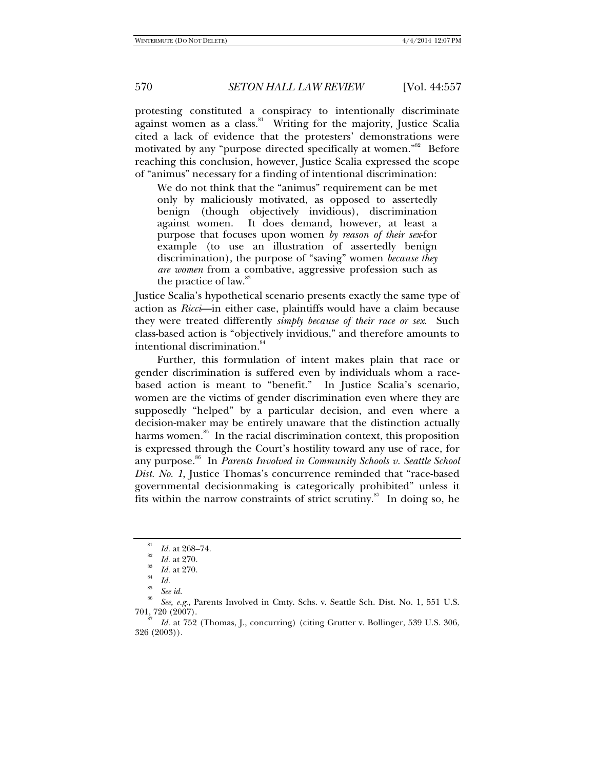protesting constituted a conspiracy to intentionally discriminate against women as a class.<sup>81</sup> Writing for the majority, Justice Scalia cited a lack of evidence that the protesters' demonstrations were motivated by any "purpose directed specifically at women."<sup>82</sup> Before reaching this conclusion, however, Justice Scalia expressed the scope of "animus" necessary for a finding of intentional discrimination:

We do not think that the "animus" requirement can be met only by maliciously motivated, as opposed to assertedly benign (though objectively invidious), discrimination against women. It does demand, however, at least a purpose that focuses upon women *by reason of their sex*-for example (to use an illustration of assertedly benign discrimination), the purpose of "saving" women *because they are women* from a combative, aggressive profession such as the practice of law.<sup>83</sup>

Justice Scalia's hypothetical scenario presents exactly the same type of action as *Ricci*—in either case, plaintiffs would have a claim because they were treated differently *simply because of their race or sex*. Such class-based action is "objectively invidious," and therefore amounts to intentional discrimination.<sup>84</sup>

Further, this formulation of intent makes plain that race or gender discrimination is suffered even by individuals whom a racebased action is meant to "benefit." In Justice Scalia's scenario, women are the victims of gender discrimination even where they are supposedly "helped" by a particular decision, and even where a decision-maker may be entirely unaware that the distinction actually harms women. $85$  In the racial discrimination context, this proposition is expressed through the Court's hostility toward any use of race, for any purpose.<sup>86</sup> In *Parents Involved in Community Schools v. Seattle School Dist. No. 1*, Justice Thomas's concurrence reminded that "race-based governmental decisionmaking is categorically prohibited" unless it fits within the narrow constraints of strict scrutiny. $\frac{87}{10}$  In doing so, he

 $\frac{81}{82}$  *Id.* at 268–74.

 $\frac{82}{83}$  *Id.* at 270.

 $\frac{^{85}}{^{84}}$  *Id.* at 270.

*See id.* 

*See, e.g.*, Parents Involved in Cmty. Schs. v. Seattle Sch. Dist. No. 1, 551 U.S.

*Id.* at 752 (Thomas, J., concurring) (citing Grutter v. Bollinger, 539 U.S. 306, 326 (2003)).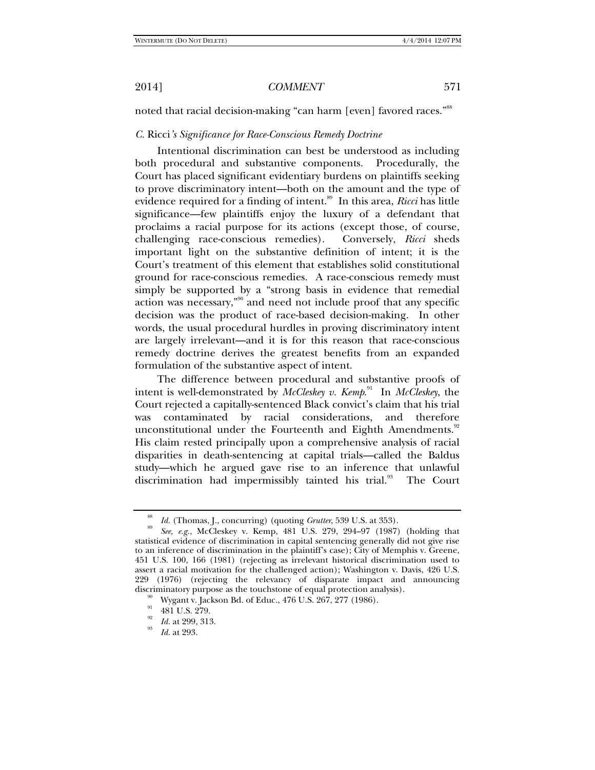noted that racial decision-making "can harm [even] favored races."88

# *C.* Ricci*'s Significance for Race-Conscious Remedy Doctrine*

Intentional discrimination can best be understood as including both procedural and substantive components. Procedurally, the Court has placed significant evidentiary burdens on plaintiffs seeking to prove discriminatory intent—both on the amount and the type of evidence required for a finding of intent.<sup>89</sup> In this area, *Ricci* has little significance—few plaintiffs enjoy the luxury of a defendant that proclaims a racial purpose for its actions (except those, of course, challenging race-conscious remedies). Conversely, *Ricci* sheds important light on the substantive definition of intent; it is the Court's treatment of this element that establishes solid constitutional ground for race-conscious remedies. A race-conscious remedy must simply be supported by a "strong basis in evidence that remedial action was necessary,"90 and need not include proof that any specific decision was the product of race-based decision-making. In other words, the usual procedural hurdles in proving discriminatory intent are largely irrelevant—and it is for this reason that race-conscious remedy doctrine derives the greatest benefits from an expanded formulation of the substantive aspect of intent.

The difference between procedural and substantive proofs of intent is well-demonstrated by *McCleskey v. Kemp*. 91 In *McCleskey*, the Court rejected a capitally-sentenced Black convict's claim that his trial was contaminated by racial considerations, and therefore unconstitutional under the Fourteenth and Eighth Amendments.<sup>92</sup> His claim rested principally upon a comprehensive analysis of racial disparities in death-sentencing at capital trials—called the Baldus study—which he argued gave rise to an inference that unlawful discrimination had impermissibly tainted his trial.<sup>93</sup> The Court

<sup>88</sup>

<sup>&</sup>lt;sup>89</sup> *Id.* (Thomas, J., concurring) (quoting *Grutter*, 539 U.S. at 353).<br><sup>89</sup> *See, e.g.*, McCleskey v. Kemp, 481 U.S. 279, 294–97 (1987) (holding that statistical evidence of discrimination in capital sentencing generally did not give rise to an inference of discrimination in the plaintiff's case); City of Memphis v. Greene, 451 U.S. 100, 166 (1981) (rejecting as irrelevant historical discrimination used to assert a racial motivation for the challenged action); Washington v. Davis, 426 U.S. 229 (1976) (rejecting the relevancy of disparate impact and announcing discriminatory purpose as the touchstone of equal protection analysis). <sup>90</sup> Wygant v. Jackson Bd. of Educ., 476 U.S. 267, 277 (1986).

 $^{91}$  481 U.S. 279.

<sup>&</sup>lt;sup>92</sup>*Id.* at 299, 313.<br><sup>93</sup>*Id.* at 293.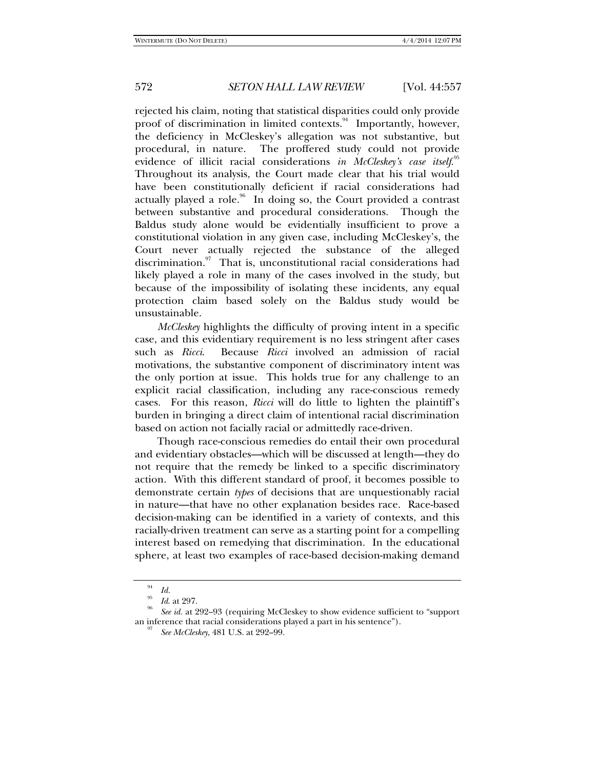rejected his claim, noting that statistical disparities could only provide proof of discrimination in limited contexts.<sup>94</sup> Importantly, however, the deficiency in McCleskey's allegation was not substantive, but procedural, in nature. The proffered study could not provide evidence of illicit racial considerations *in McCleskey's case itself.*<sup>95</sup> Throughout its analysis, the Court made clear that his trial would have been constitutionally deficient if racial considerations had actually played a role.<sup>96</sup> In doing so, the Court provided a contrast between substantive and procedural considerations. Though the Baldus study alone would be evidentially insufficient to prove a constitutional violation in any given case, including McCleskey's, the Court never actually rejected the substance of the alleged discrimination.<sup>97</sup> That is, unconstitutional racial considerations had likely played a role in many of the cases involved in the study, but because of the impossibility of isolating these incidents, any equal protection claim based solely on the Baldus study would be unsustainable.

*McCleskey* highlights the difficulty of proving intent in a specific case, and this evidentiary requirement is no less stringent after cases such as *Ricci*. Because *Ricci* involved an admission of racial motivations, the substantive component of discriminatory intent was the only portion at issue. This holds true for any challenge to an explicit racial classification, including any race-conscious remedy cases. For this reason, *Ricci* will do little to lighten the plaintiff's burden in bringing a direct claim of intentional racial discrimination based on action not facially racial or admittedly race-driven.

Though race-conscious remedies do entail their own procedural and evidentiary obstacles—which will be discussed at length—they do not require that the remedy be linked to a specific discriminatory action. With this different standard of proof, it becomes possible to demonstrate certain *types* of decisions that are unquestionably racial in nature—that have no other explanation besides race. Race-based decision-making can be identified in a variety of contexts, and this racially-driven treatment can serve as a starting point for a compelling interest based on remedying that discrimination. In the educational sphere, at least two examples of race-based decision-making demand

<sup>&</sup>lt;sup>94</sup>*Id. Id.* at 297.

*See id.* at 292–93 (requiring McCleskey to show evidence sufficient to "support an inference that racial considerations played a part in his sentence"). 97 *See McCleskey*, 481 U.S. at 292–99.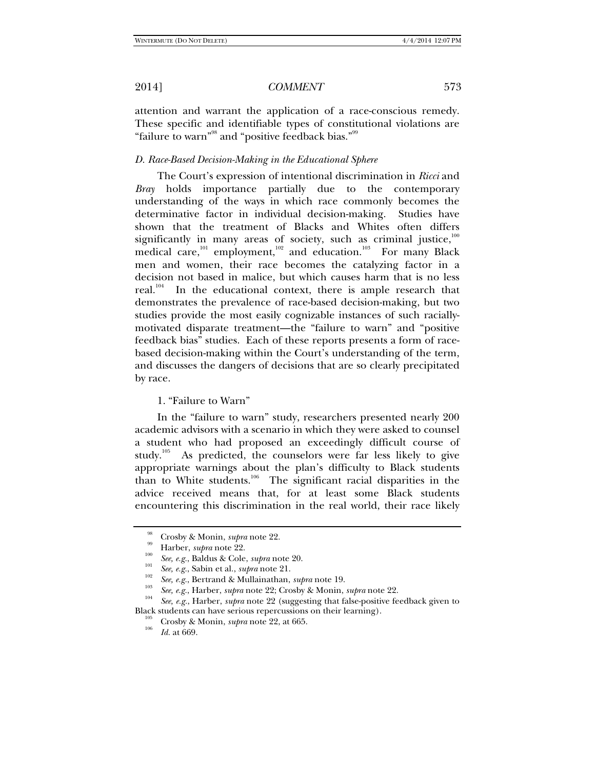attention and warrant the application of a race-conscious remedy. These specific and identifiable types of constitutional violations are "failure to warn"<sup>98</sup> and "positive feedback bias."<sup>99</sup>

# *D. Race-Based Decision-Making in the Educational Sphere*

The Court's expression of intentional discrimination in *Ricci* and *Bray* holds importance partially due to the contemporary understanding of the ways in which race commonly becomes the determinative factor in individual decision-making. Studies have shown that the treatment of Blacks and Whites often differs significantly in many areas of society, such as criminal justice, $100$ medical care,<sup>101</sup> employment,<sup>102</sup> and education.<sup>103</sup> For many Black men and women, their race becomes the catalyzing factor in a decision not based in malice, but which causes harm that is no less real.<sup>104</sup> In the educational context, there is ample research that demonstrates the prevalence of race-based decision-making, but two studies provide the most easily cognizable instances of such raciallymotivated disparate treatment—the "failure to warn" and "positive feedback bias" studies. Each of these reports presents a form of racebased decision-making within the Court's understanding of the term, and discusses the dangers of decisions that are so clearly precipitated by race.

1. "Failure to Warn"

In the "failure to warn" study, researchers presented nearly 200 academic advisors with a scenario in which they were asked to counsel a student who had proposed an exceedingly difficult course of study.<sup>105</sup> As predicted, the counselors were far less likely to give appropriate warnings about the plan's difficulty to Black students than to White students.106 The significant racial disparities in the advice received means that, for at least some Black students encountering this discrimination in the real world, their race likely

<sup>&</sup>lt;sup>99</sup> Crosby & Monin, *supra* note 22.<br>
<sup>100</sup> *See, e.g.*, Baldus & Cole, *supra* note 20.<br>
<sup>101</sup> *See, e.g.*, Sabin et al., *supra* note 21.<br> *See, e.g.*, Bertrand & Mullainathan, *supra* note 19.

<sup>&</sup>lt;sup>103</sup> See, e.g., Harber, *supra* note 22; Crosby & Monin, *supra* note 22.<br><sup>104</sup> See, e.g., Harber, *supra* note 22 (suggesting that false-positive feedback given to Black students can have serious repercussions on their learning).<br><sup>105</sup> Crosby & Monin, *supra* note 22, at 665.<br>*Id.* at 669.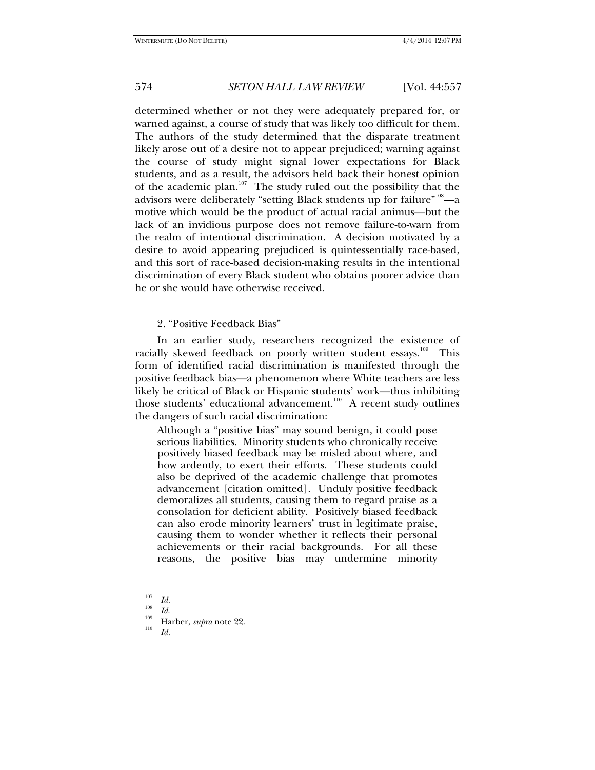determined whether or not they were adequately prepared for, or warned against, a course of study that was likely too difficult for them. The authors of the study determined that the disparate treatment likely arose out of a desire not to appear prejudiced; warning against the course of study might signal lower expectations for Black students, and as a result, the advisors held back their honest opinion of the academic plan.<sup>107</sup> The study ruled out the possibility that the advisors were deliberately "setting Black students up for failure" $^{\scriptscriptstyle 108}$ —a motive which would be the product of actual racial animus—but the lack of an invidious purpose does not remove failure-to-warn from the realm of intentional discrimination. A decision motivated by a desire to avoid appearing prejudiced is quintessentially race-based, and this sort of race-based decision-making results in the intentional discrimination of every Black student who obtains poorer advice than he or she would have otherwise received.

2. "Positive Feedback Bias"

In an earlier study, researchers recognized the existence of racially skewed feedback on poorly written student essays.<sup>109</sup> This form of identified racial discrimination is manifested through the positive feedback bias—a phenomenon where White teachers are less likely be critical of Black or Hispanic students' work—thus inhibiting those students' educational advancement.<sup>110</sup> A recent study outlines the dangers of such racial discrimination:

Although a "positive bias" may sound benign, it could pose serious liabilities. Minority students who chronically receive positively biased feedback may be misled about where, and how ardently, to exert their efforts. These students could also be deprived of the academic challenge that promotes advancement [citation omitted]. Unduly positive feedback demoralizes all students, causing them to regard praise as a consolation for deficient ability. Positively biased feedback can also erode minority learners' trust in legitimate praise, causing them to wonder whether it reflects their personal achievements or their racial backgrounds. For all these reasons, the positive bias may undermine minority

<sup>107</sup>  $\frac{107}{108}$  *Id.* 

*Id*. 109 Harber, *supra* note 22. 110 *Id.*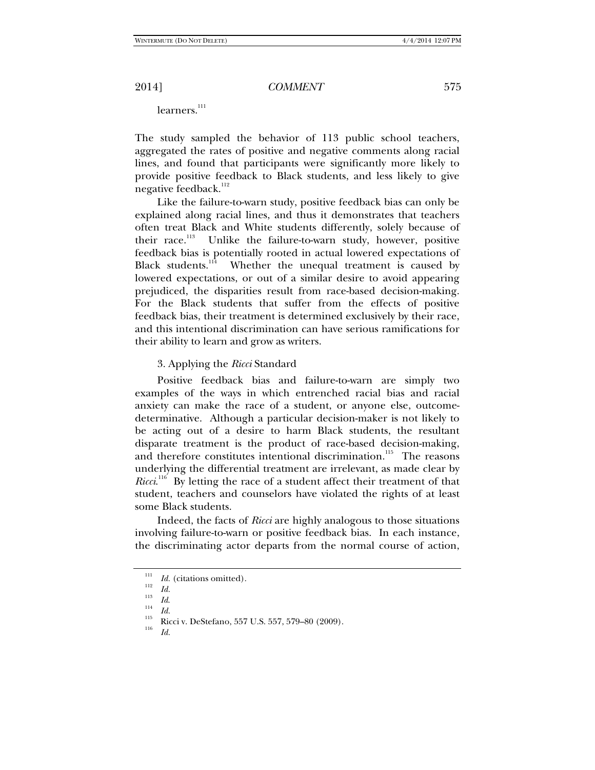learners.<sup>111</sup>

The study sampled the behavior of 113 public school teachers, aggregated the rates of positive and negative comments along racial lines, and found that participants were significantly more likely to provide positive feedback to Black students, and less likely to give negative feedback.<sup>112</sup>

Like the failure-to-warn study, positive feedback bias can only be explained along racial lines, and thus it demonstrates that teachers often treat Black and White students differently, solely because of their race.<sup>113</sup> Unlike the failure-to-warn study, however, positive feedback bias is potentially rooted in actual lowered expectations of Black students. $114$  Whether the unequal treatment is caused by lowered expectations, or out of a similar desire to avoid appearing prejudiced, the disparities result from race-based decision-making. For the Black students that suffer from the effects of positive feedback bias, their treatment is determined exclusively by their race, and this intentional discrimination can have serious ramifications for their ability to learn and grow as writers.

#### 3. Applying the *Ricci* Standard

Positive feedback bias and failure-to-warn are simply two examples of the ways in which entrenched racial bias and racial anxiety can make the race of a student, or anyone else, outcomedeterminative. Although a particular decision-maker is not likely to be acting out of a desire to harm Black students, the resultant disparate treatment is the product of race-based decision-making, and therefore constitutes intentional discrimination.<sup>115</sup> The reasons underlying the differential treatment are irrelevant, as made clear by *Ricci.*<sup>116</sup> By letting the race of a student affect their treatment of that student, teachers and counselors have violated the rights of at least some Black students.

Indeed, the facts of *Ricci* are highly analogous to those situations involving failure-to-warn or positive feedback bias. In each instance, the discriminating actor departs from the normal course of action,

<sup>&</sup>lt;sup>111</sup>*Id.* (citations omitted).<br><sup>112</sup>*Id.* 113 *II* 

 $\frac{113}{114}$  *Id.* 

<sup>&</sup>lt;sup>115</sup> Ricci v. DeStefano, 557 U.S. 557, 579–80 (2009).<br><sup>116</sup> *Id.*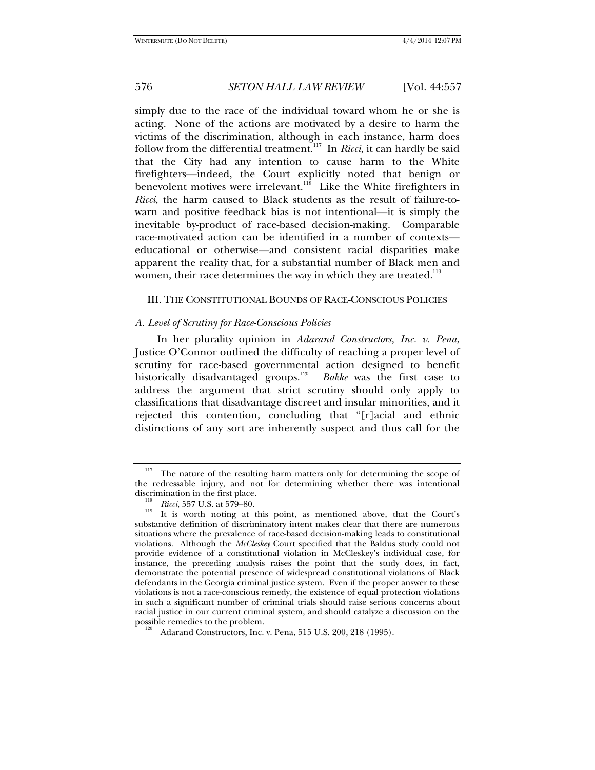simply due to the race of the individual toward whom he or she is acting. None of the actions are motivated by a desire to harm the victims of the discrimination, although in each instance, harm does follow from the differential treatment.117 In *Ricci*, it can hardly be said that the City had any intention to cause harm to the White firefighters—indeed, the Court explicitly noted that benign or benevolent motives were irrelevant.<sup>118</sup> Like the White firefighters in *Ricci*, the harm caused to Black students as the result of failure-towarn and positive feedback bias is not intentional—it is simply the inevitable by-product of race-based decision-making. Comparable race-motivated action can be identified in a number of contexts educational or otherwise—and consistent racial disparities make apparent the reality that, for a substantial number of Black men and women, their race determines the way in which they are treated.<sup>119</sup>

#### III. THE CONSTITUTIONAL BOUNDS OF RACE-CONSCIOUS POLICIES

#### *A. Level of Scrutiny for Race-Conscious Policies*

In her plurality opinion in *Adarand Constructors, Inc. v. Pena*, Justice O'Connor outlined the difficulty of reaching a proper level of scrutiny for race-based governmental action designed to benefit historically disadvantaged groups.<sup>120</sup> *Bakke* was the first case to address the argument that strict scrutiny should only apply to classifications that disadvantage discreet and insular minorities, and it rejected this contention, concluding that "[r]acial and ethnic distinctions of any sort are inherently suspect and thus call for the

<sup>&</sup>lt;sup>117</sup> The nature of the resulting harm matters only for determining the scope of the redressable injury, and not for determining whether there was intentional discrimination in the first place.<br> $\frac{118}{118}$  Ricci, 557 U.S. at 579–80.

<sup>&</sup>lt;sup>119</sup> It is worth noting at this point, as mentioned above, that the Court's substantive definition of discriminatory intent makes clear that there are numerous situations where the prevalence of race-based decision-making leads to constitutional violations. Although the *McCleskey* Court specified that the Baldus study could not provide evidence of a constitutional violation in McCleskey's individual case, for instance, the preceding analysis raises the point that the study does, in fact, demonstrate the potential presence of widespread constitutional violations of Black defendants in the Georgia criminal justice system. Even if the proper answer to these violations is not a race-conscious remedy, the existence of equal protection violations in such a significant number of criminal trials should raise serious concerns about racial justice in our current criminal system, and should catalyze a discussion on the

Adarand Constructors, Inc. v. Pena, 515 U.S. 200, 218 (1995).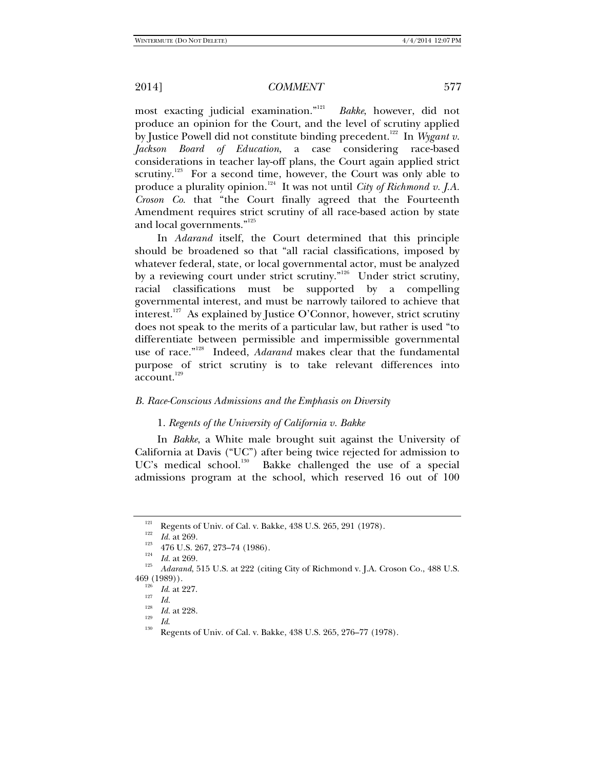most exacting judicial examination."<sup>121</sup> *Bakke*, however, did not produce an opinion for the Court, and the level of scrutiny applied by Justice Powell did not constitute binding precedent.<sup>122</sup> In *Wygant v*. *Jackson Board of Education*, a case considering race-based considerations in teacher lay-off plans, the Court again applied strict scrutiny.<sup>123</sup> For a second time, however, the Court was only able to produce a plurality opinion.<sup>124</sup> It was not until *City of Richmond v. J.A. Croson Co.* that "the Court finally agreed that the Fourteenth Amendment requires strict scrutiny of all race-based action by state and local governments."<sup>125</sup>

In *Adarand* itself, the Court determined that this principle should be broadened so that "all racial classifications, imposed by whatever federal, state, or local governmental actor, must be analyzed by a reviewing court under strict scrutiny.<sup> $n^{126}$ </sup> Under strict scrutiny, racial classifications must be supported by a compelling governmental interest, and must be narrowly tailored to achieve that interest.<sup>127</sup> As explained by Justice O'Connor, however, strict scrutiny does not speak to the merits of a particular law, but rather is used "to differentiate between permissible and impermissible governmental use of race."128 Indeed, *Adarand* makes clear that the fundamental purpose of strict scrutiny is to take relevant differences into account.<sup>129</sup>

### *B. Race-Conscious Admissions and the Emphasis on Diversity*

### 1. *Regents of the University of California v. Bakke*

In *Bakke*, a White male brought suit against the University of California at Davis ("UC") after being twice rejected for admission to UC's medical school.<sup>130</sup> Bakke challenged the use of a special admissions program at the school, which reserved 16 out of 100

Regents of Univ. of Cal. v. Bakke, 438 U.S. 265, 291 (1978).<br>
<sup>122</sup> *Id.* at 269.<br>
<sup>123</sup> 476 U.S. 267, 273–74 (1986).<br> *Id.* at 269.<br> *Id.* at 269.<br> *Adarand*, 515 U.S. at 222 (citing City of Richmond v. J.A. Croson Co., 469 (1989)).<br><sup>126</sup> *Id.* at 227.

 $\frac{127}{128}$  *Id.* at 228.

<sup>&</sup>lt;sup>129</sup> *Id.* **Regents of Univ. of Cal. v. Bakke, 438 U.S. 265, 276–77 (1978).**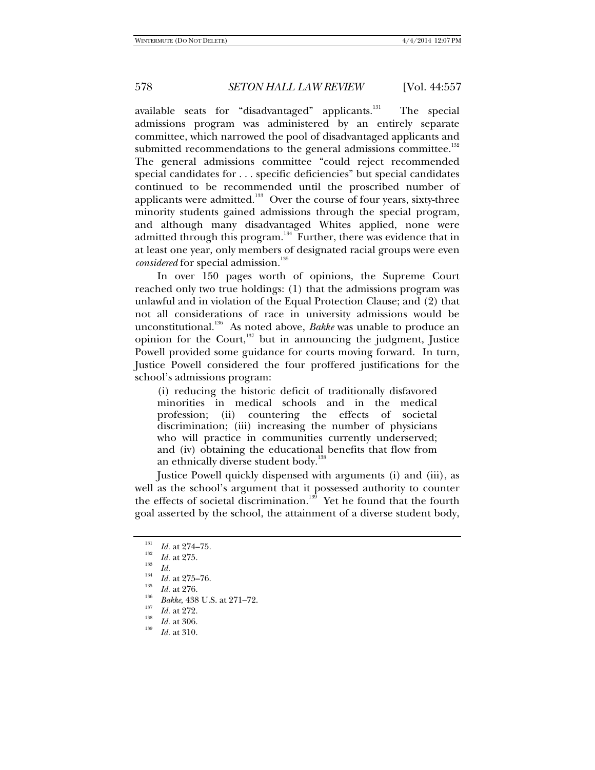available seats for "disadvantaged" applicants.<sup>131</sup> The special admissions program was administered by an entirely separate committee, which narrowed the pool of disadvantaged applicants and submitted recommendations to the general admissions committee. $^{132}$ The general admissions committee "could reject recommended special candidates for . . . specific deficiencies" but special candidates continued to be recommended until the proscribed number of applicants were admitted.<sup>133</sup> Over the course of four years, sixty-three minority students gained admissions through the special program, and although many disadvantaged Whites applied, none were admitted through this program. $134$  Further, there was evidence that in at least one year, only members of designated racial groups were even *considered* for special admission.<sup>135</sup>

In over 150 pages worth of opinions, the Supreme Court reached only two true holdings: (1) that the admissions program was unlawful and in violation of the Equal Protection Clause; and (2) that not all considerations of race in university admissions would be unconstitutional.136 As noted above, *Bakke* was unable to produce an opinion for the Court, $137$  but in announcing the judgment, Justice Powell provided some guidance for courts moving forward. In turn, Justice Powell considered the four proffered justifications for the school's admissions program:

(i) reducing the historic deficit of traditionally disfavored minorities in medical schools and in the medical profession; (ii) countering the effects of societal discrimination; (iii) increasing the number of physicians who will practice in communities currently underserved; and (iv) obtaining the educational benefits that flow from an ethnically diverse student body.<sup>13</sup>

Justice Powell quickly dispensed with arguments (i) and (iii), as well as the school's argument that it possessed authority to counter the effects of societal discrimination.<sup>139</sup> Yet he found that the fourth goal asserted by the school, the attainment of a diverse student body,

<sup>&</sup>lt;sup>131</sup> *Id.* at 274–75.<br><sup>132</sup> *Id.* at 275.<br>*Id. Id.* 

<sup>&</sup>lt;sup>134</sup>*Id.* at 275–76.<br><sup>135</sup>*Id.* at 276.

<sup>&</sup>lt;sup>136</sup> *Bakke*, 438 U.S. at 271–72.<br><sup>137</sup> *Id.* at 272.

<sup>&</sup>lt;sup>138</sup> *Id.* at 306.<br><sup>139</sup> *Id.* at 310.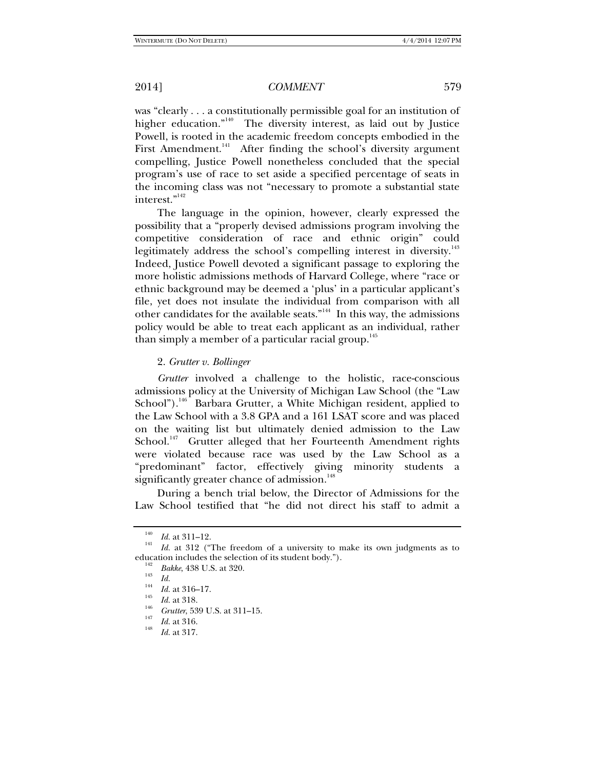was "clearly . . . a constitutionally permissible goal for an institution of higher education."<sup>140</sup> The diversity interest, as laid out by Justice Powell, is rooted in the academic freedom concepts embodied in the First Amendment.<sup>141</sup> After finding the school's diversity argument compelling, Justice Powell nonetheless concluded that the special program's use of race to set aside a specified percentage of seats in the incoming class was not "necessary to promote a substantial state interest."<sup>142</sup>

The language in the opinion, however, clearly expressed the possibility that a "properly devised admissions program involving the competitive consideration of race and ethnic origin" could legitimately address the school's compelling interest in diversity.<sup>143</sup> Indeed, Justice Powell devoted a significant passage to exploring the more holistic admissions methods of Harvard College, where "race or ethnic background may be deemed a 'plus' in a particular applicant's file, yet does not insulate the individual from comparison with all other candidates for the available seats."<sup>144</sup> In this way, the admissions policy would be able to treat each applicant as an individual, rather than simply a member of a particular racial group.<sup>145</sup>

#### 2. *Grutter v. Bollinger*

*Grutter* involved a challenge to the holistic, race-conscious admissions policy at the University of Michigan Law School (the "Law School").<sup>146</sup> Barbara Grutter, a White Michigan resident, applied to the Law School with a 3.8 GPA and a 161 LSAT score and was placed on the waiting list but ultimately denied admission to the Law School.<sup>147</sup> Grutter alleged that her Fourteenth Amendment rights were violated because race was used by the Law School as a "predominant" factor, effectively giving minority students a significantly greater chance of admission.<sup>148</sup>

During a bench trial below, the Director of Admissions for the Law School testified that "he did not direct his staff to admit a

 $\frac{140}{141}$  *Id.* at 311–12.

*Id.* at 312 ("The freedom of a university to make its own judgments as to education includes the selection of its student body.").

<sup>&</sup>lt;sup>142</sup> *Bakke*, 438 U.S. at 320.<br>
<sup>144</sup>*Id.*<br> *Id.* at 316–17.

 $\frac{145}{146}$  *Id.* at 318.

<sup>&</sup>lt;sup>146</sup> *Grutter*, 539 U.S. at 311–15.<br><sup>147</sup> *Id.* at 316.<br>*Id.* at 317.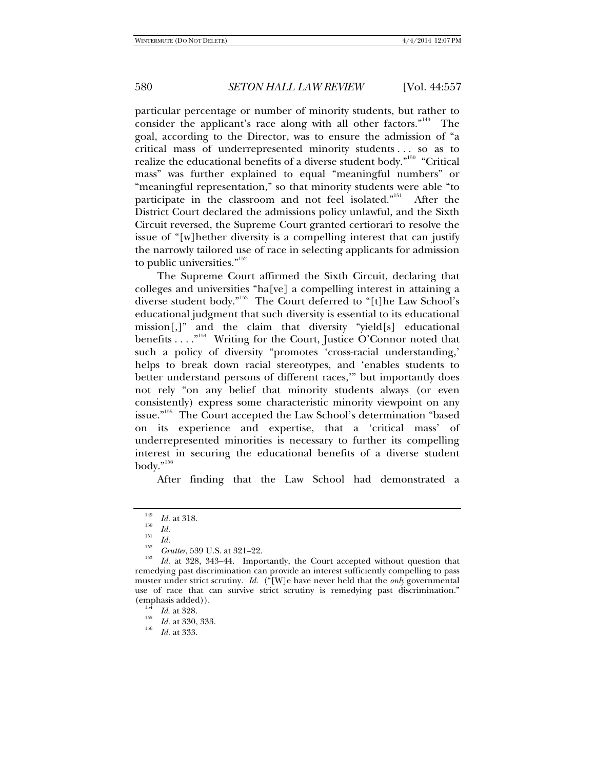particular percentage or number of minority students, but rather to consider the applicant's race along with all other factors."<sup>149</sup> The goal, according to the Director, was to ensure the admission of "a critical mass of underrepresented minority students . . . so as to realize the educational benefits of a diverse student body."150 "Critical mass" was further explained to equal "meaningful numbers" or "meaningful representation," so that minority students were able "to participate in the classroom and not feel isolated."151 After the District Court declared the admissions policy unlawful, and the Sixth Circuit reversed, the Supreme Court granted certiorari to resolve the issue of "[w]hether diversity is a compelling interest that can justify the narrowly tailored use of race in selecting applicants for admission to public universities."<sup>152</sup>

The Supreme Court affirmed the Sixth Circuit, declaring that colleges and universities "ha[ve] a compelling interest in attaining a diverse student body."153 The Court deferred to "[t]he Law School's educational judgment that such diversity is essential to its educational mission[,]" and the claim that diversity "yield[s] educational benefits . . . . "<sup>154</sup> Writing for the Court, Justice O'Connor noted that such a policy of diversity "promotes 'cross-racial understanding,' helps to break down racial stereotypes, and 'enables students to better understand persons of different races,'" but importantly does not rely "on any belief that minority students always (or even consistently) express some characteristic minority viewpoint on any issue."155 The Court accepted the Law School's determination "based on its experience and expertise, that a 'critical mass' of underrepresented minorities is necessary to further its compelling interest in securing the educational benefits of a diverse student body."<br/>  $\,^{\rm n156}$ 

After finding that the Law School had demonstrated a

<sup>149</sup>  $\frac{149}{150}$  *Id.* at 318.

 $\frac{151}{152}$  *Id.* 

<sup>&</sup>lt;sup>152</sup> *Grutter*, 539 U.S. at 321–22.

*Id.* at 328, 343–44. Importantly, the Court accepted without question that remedying past discrimination can provide an interest sufficiently compelling to pass muster under strict scrutiny. *Id.* ("[W]e have never held that the *only* governmental use of race that can survive strict scrutiny is remedying past discrimination." (emphasis added)).<br> $Id.$  at 328.

*Id*. at 328. 155 *Id.* at 330, 333. 156 *Id.* at 333.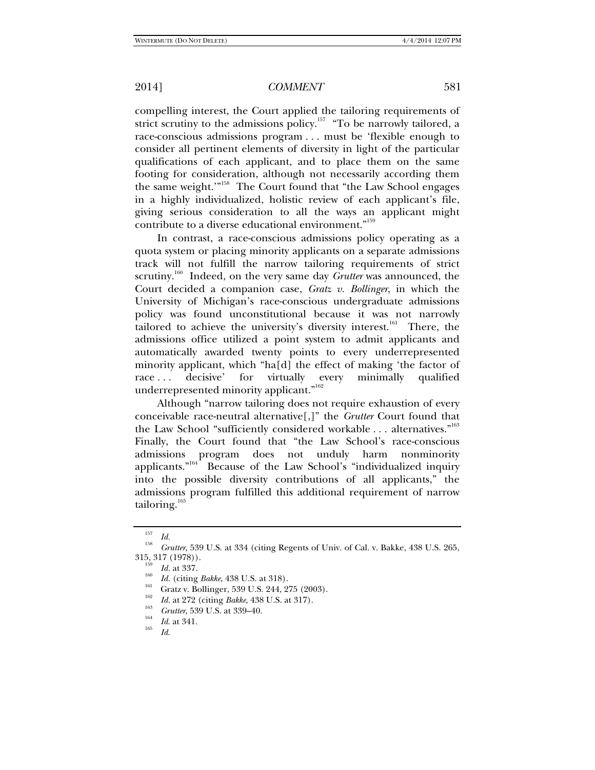compelling interest, the Court applied the tailoring requirements of strict scrutiny to the admissions policy.<sup>157</sup> "To be narrowly tailored, a race-conscious admissions program . . . must be 'flexible enough to consider all pertinent elements of diversity in light of the particular qualifications of each applicant, and to place them on the same footing for consideration, although not necessarily according them the same weight."<sup>158</sup> The Court found that "the Law School engages in a highly individualized, holistic review of each applicant's file, giving serious consideration to all the ways an applicant might contribute to a diverse educational environment."<sup>159</sup>

In contrast, a race-conscious admissions policy operating as a quota system or placing minority applicants on a separate admissions track will not fulfill the narrow tailoring requirements of strict scrutiny.<sup>160</sup> Indeed, on the very same day *Grutter* was announced, the Court decided a companion case, *Gratz v. Bollinger*, in which the University of Michigan's race-conscious undergraduate admissions policy was found unconstitutional because it was not narrowly tailored to achieve the university's diversity interest.<sup>161</sup> There, the admissions office utilized a point system to admit applicants and automatically awarded twenty points to every underrepresented minority applicant, which "ha[d] the effect of making 'the factor of race ... decisive' for virtually every minimally qualified underrepresented minority applicant."<sup>162</sup>

Although "narrow tailoring does not require exhaustion of every conceivable race-neutral alternative[,]" the *Grutter* Court found that the Law School "sufficiently considered workable ... alternatives."<sup>163</sup> Finally, the Court found that "the Law School's race-conscious admissions program does not unduly harm nonminority applicants."<sup>164</sup> Because of the Law School's "individualized inquiry into the possible diversity contributions of all applicants," the admissions program fulfilled this additional requirement of narrow tailoring. $165$ 

 $\frac{157}{158}$  *Id.* 

*Grutter*, 539 U.S. at 334 (citing Regents of Univ. of Cal. v. Bakke, 438 U.S. 265,  $315, 317 (1978)$ .<br> $159$  *Id.* at 337.

*I<sup>60</sup> Id.* (citing *Bakke*, 438 U.S. at 318). <br><sup>161</sup> Gratz v. Bollinger, 539 U.S. 244, 275 (2003).

<sup>&</sup>lt;sup>162</sup> *Id.* at 272 (citing *Bakke*, 438 U.S. at 317).

<sup>&</sup>lt;sup>163</sup> *Grutter*, 539 U.S. at 339–40.<br><sup>164</sup> *Id*. at 341.<br>*Id.*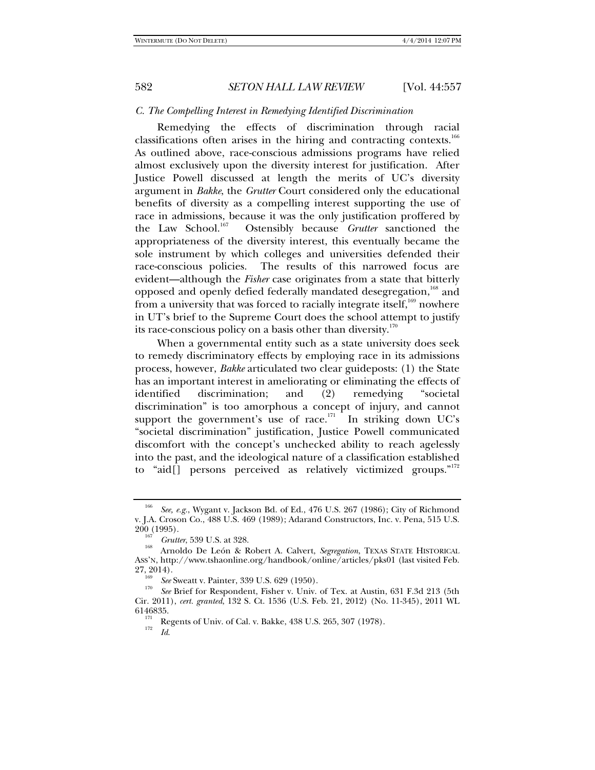### *C. The Compelling Interest in Remedying Identified Discrimination*

Remedying the effects of discrimination through racial classifications often arises in the hiring and contracting contexts.<sup>166</sup> As outlined above, race-conscious admissions programs have relied almost exclusively upon the diversity interest for justification. After Justice Powell discussed at length the merits of UC's diversity argument in *Bakke*, the *Grutter* Court considered only the educational benefits of diversity as a compelling interest supporting the use of race in admissions, because it was the only justification proffered by the Law School.<sup>167</sup> Ostensibly because *Grutter* sanctioned the appropriateness of the diversity interest, this eventually became the sole instrument by which colleges and universities defended their race-conscious policies. The results of this narrowed focus are evident—although the *Fisher* case originates from a state that bitterly opposed and openly defied federally mandated desegregation,<sup>168</sup> and from a university that was forced to racially integrate itself,  $169$  nowhere in UT's brief to the Supreme Court does the school attempt to justify its race-conscious policy on a basis other than diversity. $170$ 

When a governmental entity such as a state university does seek to remedy discriminatory effects by employing race in its admissions process, however, *Bakke* articulated two clear guideposts: (1) the State has an important interest in ameliorating or eliminating the effects of identified discrimination; and (2) remedying "societal discrimination" is too amorphous a concept of injury, and cannot support the government's use of race.<sup>171</sup> In striking down UC's "societal discrimination" justification, Justice Powell communicated discomfort with the concept's unchecked ability to reach agelessly into the past, and the ideological nature of a classification established to "aid[] persons perceived as relatively victimized groups."<sup>172</sup>

<sup>166</sup> *See, e.g.*, Wygant v. Jackson Bd. of Ed., 476 U.S. 267 (1986); City of Richmond v. J.A. Croson Co., 488 U.S. 469 (1989); Adarand Constructors, Inc. v. Pena, 515 U.S.

<sup>200 (1995). 167</sup> *Grutter*, 539 U.S. at 328. 168 Arnoldo De León & Robert A. Calvert, *Segregation*, TEXAS STATE HISTORICAL ASS'N, http://www.tshaonline.org/handbook/online/articles/pks01 (last visited Feb. 27, 2014).<br><sup>169</sup> *See* Sweatt v. Painter, 339 U.S. 629 (1950).

*See* Brief for Respondent, Fisher v. Univ. of Tex. at Austin, 631 F.3d 213 (5th Cir. 2011), *cert. granted*, 132 S. Ct. 1536 (U.S. Feb. 21, 2012) (No. 11-345), 2011 WL 6146835. 171 Regents of Univ. of Cal. v. Bakke, 438 U.S. 265, 307 (1978). 172 *Id*.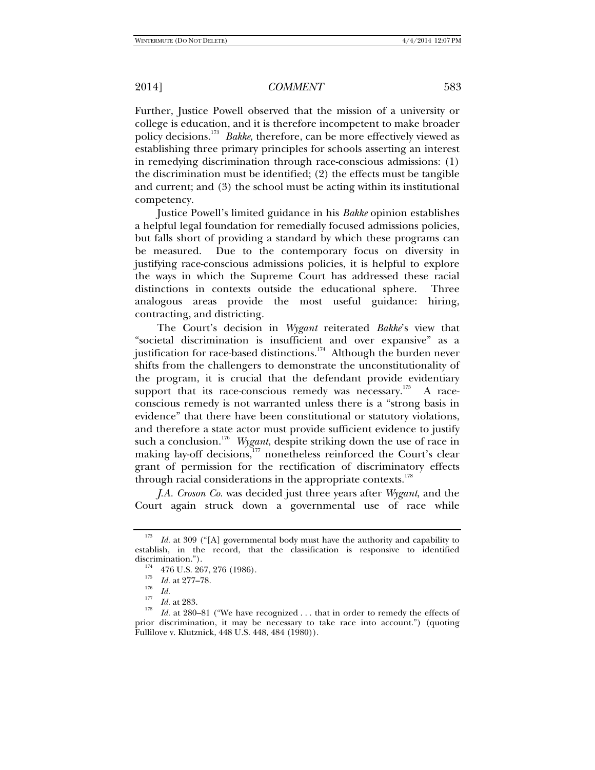Further, Justice Powell observed that the mission of a university or college is education, and it is therefore incompetent to make broader policy decisions.<sup>173</sup> Bakke, therefore, can be more effectively viewed as establishing three primary principles for schools asserting an interest in remedying discrimination through race-conscious admissions: (1) the discrimination must be identified; (2) the effects must be tangible and current; and (3) the school must be acting within its institutional competency.

Justice Powell's limited guidance in his *Bakke* opinion establishes a helpful legal foundation for remedially focused admissions policies, but falls short of providing a standard by which these programs can be measured. Due to the contemporary focus on diversity in justifying race-conscious admissions policies, it is helpful to explore the ways in which the Supreme Court has addressed these racial distinctions in contexts outside the educational sphere. Three analogous areas provide the most useful guidance: hiring, contracting, and districting.

The Court's decision in *Wygant* reiterated *Bakke*'s view that "societal discrimination is insufficient and over expansive" as a justification for race-based distinctions.<sup>174</sup> Although the burden never shifts from the challengers to demonstrate the unconstitutionality of the program, it is crucial that the defendant provide evidentiary support that its race-conscious remedy was necessary.<sup>175</sup> A raceconscious remedy is not warranted unless there is a "strong basis in evidence" that there have been constitutional or statutory violations, and therefore a state actor must provide sufficient evidence to justify such a conclusion.<sup>176</sup> Wygant, despite striking down the use of race in making lay-off decisions,<sup>177</sup> nonetheless reinforced the Court's clear grant of permission for the rectification of discriminatory effects through racial considerations in the appropriate contexts.<sup>178</sup>

*J.A. Croson Co.* was decided just three years after *Wygant*, and the Court again struck down a governmental use of race while

<sup>&</sup>lt;sup>173</sup> *Id.* at 309 ("[A] governmental body must have the authority and capability to establish, in the record, that the classification is responsive to identified

<sup>&</sup>lt;sup>174</sup> 476 U.S. 267, 276 (1986).<br><sup>175</sup> *Id.* at 277–78.

 $\frac{176}{177}$  *Id.* at 283.

<sup>&</sup>lt;sup>178</sup> *Id.* at 280–81 ("We have recognized . . . that in order to remedy the effects of prior discrimination, it may be necessary to take race into account.") (quoting Fullilove v. Klutznick, 448 U.S. 448, 484 (1980)).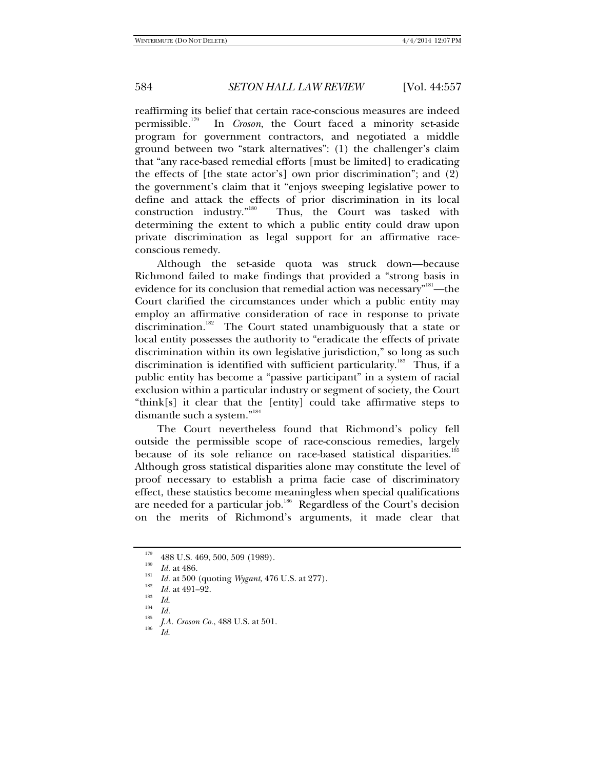reaffirming its belief that certain race-conscious measures are indeed permissible.179 In *Croson*, the Court faced a minority set-aside program for government contractors, and negotiated a middle ground between two "stark alternatives": (1) the challenger's claim that "any race-based remedial efforts [must be limited] to eradicating the effects of [the state actor's] own prior discrimination"; and (2) the government's claim that it "enjoys sweeping legislative power to define and attack the effects of prior discrimination in its local construction industry."<sup>180</sup> Thus, the Court was tasked with Thus, the Court was tasked with determining the extent to which a public entity could draw upon private discrimination as legal support for an affirmative raceconscious remedy.

Although the set-aside quota was struck down—because Richmond failed to make findings that provided a "strong basis in evidence for its conclusion that remedial action was necessary"<sup>181</sup>—the Court clarified the circumstances under which a public entity may employ an affirmative consideration of race in response to private discrimination.<sup>182</sup> The Court stated unambiguously that a state or local entity possesses the authority to "eradicate the effects of private discrimination within its own legislative jurisdiction," so long as such discrimination is identified with sufficient particularity.<sup>183</sup> Thus, if a public entity has become a "passive participant" in a system of racial exclusion within a particular industry or segment of society, the Court "think[s] it clear that the [entity] could take affirmative steps to dismantle such a system."184

The Court nevertheless found that Richmond's policy fell outside the permissible scope of race-conscious remedies, largely because of its sole reliance on race-based statistical disparities.<sup>185</sup> Although gross statistical disparities alone may constitute the level of proof necessary to establish a prima facie case of discriminatory effect, these statistics become meaningless when special qualifications are needed for a particular job.<sup>186</sup> Regardless of the Court's decision on the merits of Richmond's arguments, it made clear that

- $\frac{183}{184}$  *Id.*
- 

<sup>&</sup>lt;sup>179</sup> 488 U.S. 469, 500, 509 (1989).<br><sup>180</sup> *Id.* at 486.

<sup>&</sup>lt;sup>181</sup> *Id.* at 500 (quoting *Wygant*, 476 U.S. at 277).<br> *Id.* at 491–92.

<sup>&</sup>lt;sup>185</sup> *J.A. Croson Co.*, 488 U.S. at 501.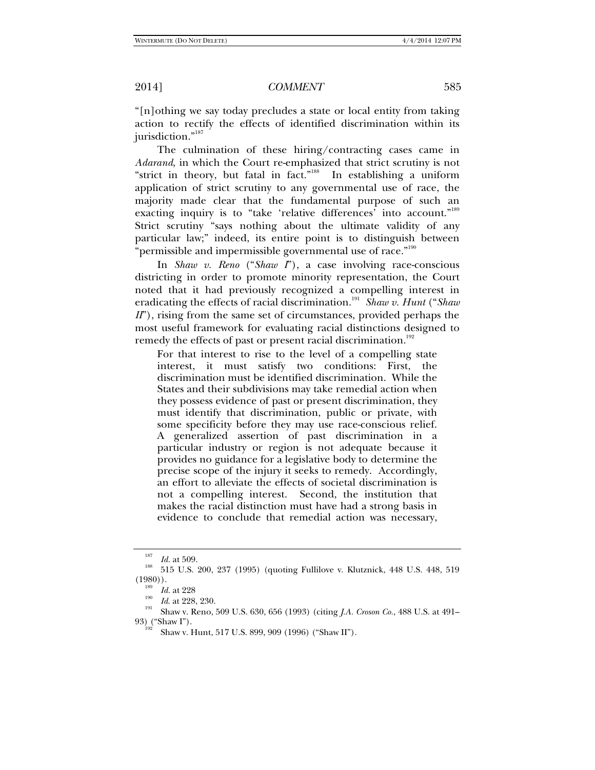"[n]othing we say today precludes a state or local entity from taking action to rectify the effects of identified discrimination within its jurisdiction."<sup>187</sup>

The culmination of these hiring/contracting cases came in *Adarand*, in which the Court re-emphasized that strict scrutiny is not "strict in theory, but fatal in fact."<sup>188</sup> In establishing a uniform application of strict scrutiny to any governmental use of race, the majority made clear that the fundamental purpose of such an exacting inquiry is to "take 'relative differences' into account."<sup>189</sup> Strict scrutiny "says nothing about the ultimate validity of any particular law;" indeed, its entire point is to distinguish between "permissible and impermissible governmental use of race."<sup>190</sup>

In *Shaw v. Reno* ("*Shaw I*"), a case involving race-conscious districting in order to promote minority representation, the Court noted that it had previously recognized a compelling interest in eradicating the effects of racial discrimination.<sup>191</sup> Shaw v. Hunt ("Shaw *II*"), rising from the same set of circumstances, provided perhaps the most useful framework for evaluating racial distinctions designed to remedy the effects of past or present racial discrimination.<sup>192</sup>

For that interest to rise to the level of a compelling state interest, it must satisfy two conditions: First, the discrimination must be identified discrimination. While the States and their subdivisions may take remedial action when they possess evidence of past or present discrimination, they must identify that discrimination, public or private, with some specificity before they may use race-conscious relief. A generalized assertion of past discrimination in a particular industry or region is not adequate because it provides no guidance for a legislative body to determine the precise scope of the injury it seeks to remedy. Accordingly, an effort to alleviate the effects of societal discrimination is not a compelling interest. Second, the institution that makes the racial distinction must have had a strong basis in evidence to conclude that remedial action was necessary,

<sup>187</sup>

<sup>&</sup>lt;sup>187</sup> Id. at 509.<br><sup>188</sup> 515 U.S. 200, 237 (1995) (quoting Fullilove v. Klutznick, 448 U.S. 448, 519<br>(1980)).

<sup>&</sup>lt;sup>190</sup> *Id.* at 228<br><sup>190</sup> *Id.* at 228, 230.<br><sup>191</sup> Shaw v. Reno, 509 U.S. 630, 656 (1993) (citing *J.A. Croson Co.*, 488 U.S. at 491–<br>93) ("Shaw I").

Shaw v. Hunt, 517 U.S. 899, 909 (1996) ("Shaw II").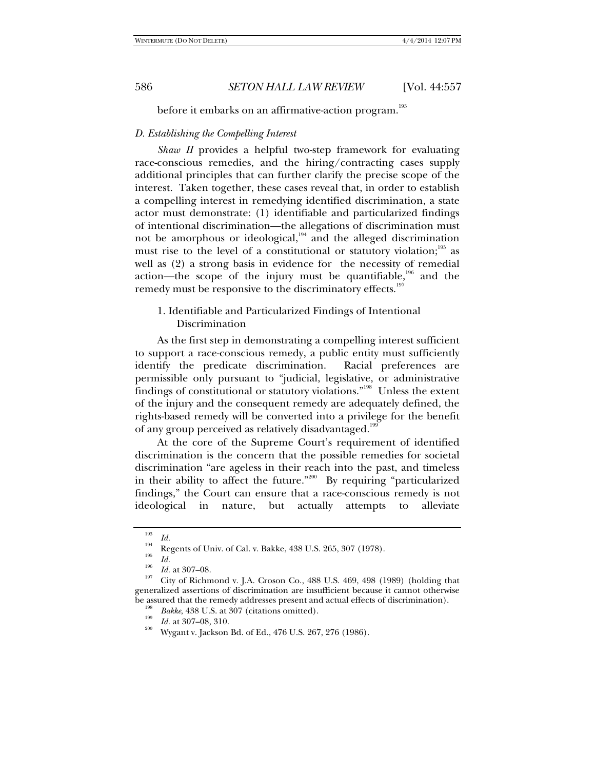before it embarks on an affirmative-action program.<sup>193</sup>

# *D. Establishing the Compelling Interest*

*Shaw II* provides a helpful two-step framework for evaluating race-conscious remedies, and the hiring/contracting cases supply additional principles that can further clarify the precise scope of the interest. Taken together, these cases reveal that, in order to establish a compelling interest in remedying identified discrimination, a state actor must demonstrate: (1) identifiable and particularized findings of intentional discrimination—the allegations of discrimination must not be amorphous or ideological,<sup>194</sup> and the alleged discrimination must rise to the level of a constitutional or statutory violation; $195$  as well as (2) a strong basis in evidence for the necessity of remedial action—the scope of the injury must be quantifiable,<sup>196</sup> and the remedy must be responsive to the discriminatory effects.<sup>197</sup>

# 1. Identifiable and Particularized Findings of Intentional Discrimination

As the first step in demonstrating a compelling interest sufficient to support a race-conscious remedy, a public entity must sufficiently identify the predicate discrimination. Racial preferences are permissible only pursuant to "judicial, legislative, or administrative findings of constitutional or statutory violations."198 Unless the extent of the injury and the consequent remedy are adequately defined, the rights-based remedy will be converted into a privilege for the benefit of any group perceived as relatively disadvantaged.<sup>19</sup>

At the core of the Supreme Court's requirement of identified discrimination is the concern that the possible remedies for societal discrimination "are ageless in their reach into the past, and timeless in their ability to affect the future."<sup>200</sup> By requiring "particularized findings," the Court can ensure that a race-conscious remedy is not ideological in nature, but actually attempts to alleviate

<sup>193</sup>

*Id. Iga Id.* **Regents of Univ. of Cal. v. Bakke, 438 U.S. 265, 307 (1978). 195** 

 $\frac{195}{196}$  *Id.* at 307–08.

<sup>&</sup>lt;sup>197</sup> City of Richmond v. J.A. Croson Co., 488 U.S. 469, 498 (1989) (holding that generalized assertions of discrimination are insufficient because it cannot otherwise be assured that the remedy addresses present and actual effects of discrimination). *Bakke*, 438 U.S. at 307 (citations omitted).

<sup>&</sup>lt;sup>199</sup> *Id.* at 307–08, 310.<br><sup>200</sup> Wygant v. Jackson Bd. of Ed., 476 U.S. 267, 276 (1986).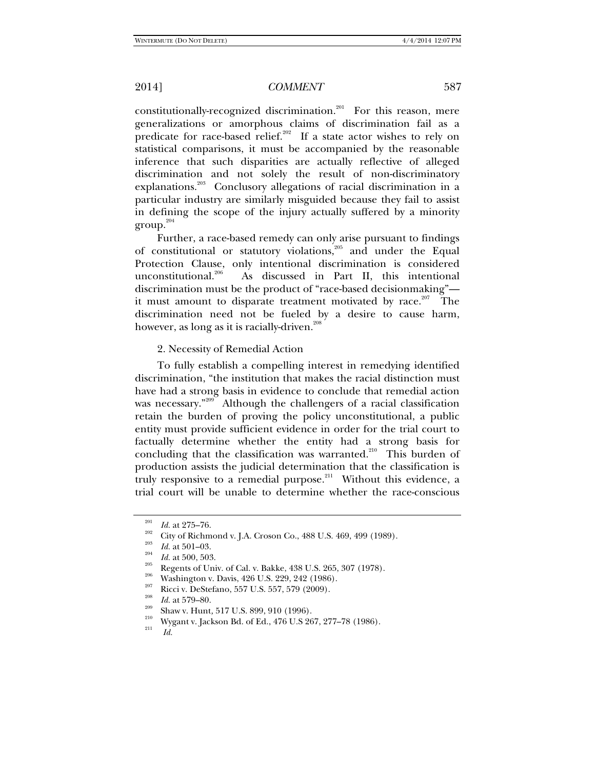constitutionally-recognized discrimination.<sup>201</sup> For this reason, mere generalizations or amorphous claims of discrimination fail as a predicate for race-based relief.<sup>202</sup> If a state actor wishes to rely on statistical comparisons, it must be accompanied by the reasonable inference that such disparities are actually reflective of alleged discrimination and not solely the result of non-discriminatory explanations.<sup>203</sup> Conclusory allegations of racial discrimination in a particular industry are similarly misguided because they fail to assist in defining the scope of the injury actually suffered by a minority  $\text{group.}^{204}$ 

Further, a race-based remedy can only arise pursuant to findings of constitutional or statutory violations,<sup>205</sup> and under the Equal Protection Clause, only intentional discrimination is considered unconstitutional.<sup>206</sup> As discussed in Part II, this intentional discrimination must be the product of "race-based decisionmaking" it must amount to disparate treatment motivated by race. $207$  The discrimination need not be fueled by a desire to cause harm, however, as long as it is racially-driven.<sup>208</sup>

#### 2. Necessity of Remedial Action

To fully establish a compelling interest in remedying identified discrimination, "the institution that makes the racial distinction must have had a strong basis in evidence to conclude that remedial action was necessary."<sup>209</sup> Although the challengers of a racial classification retain the burden of proving the policy unconstitutional, a public entity must provide sufficient evidence in order for the trial court to factually determine whether the entity had a strong basis for concluding that the classification was warranted.<sup>210</sup> This burden of production assists the judicial determination that the classification is truly responsive to a remedial purpose.<sup>211</sup> Without this evidence, a trial court will be unable to determine whether the race-conscious

<sup>&</sup>lt;sup>201</sup> *Id.* at 275–76.<br>
<sup>202</sup> City of Richmond v. J.A. Croson Co., 488 U.S. 469, 499 (1989).<br> *Id.* at 501–03.<br> *Id.* at 500, 503.<br>
Regents of Univ. of Cal. v. Bakke, 438 U.S. 265, 307 (1978).<br>
<sup>205</sup> Washington v. Davis,

<sup>&</sup>lt;sup>209</sup> Shaw v. Hunt, 517 U.S. 899, 910 (1996).<br><sup>210</sup> Wygant v. Jackson Bd. of Ed., 476 U.S 267, 277–78 (1986).<br>*Id.*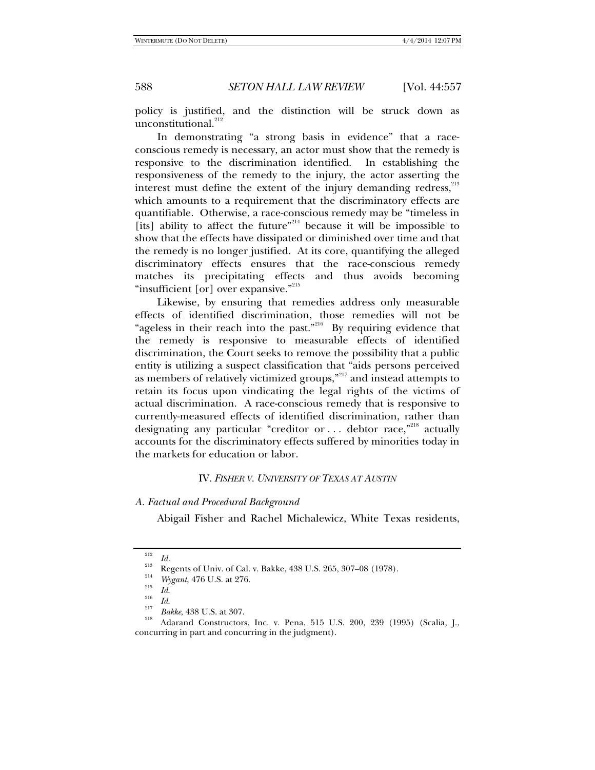policy is justified, and the distinction will be struck down as unconstitutional.<sup>212</sup>

In demonstrating "a strong basis in evidence" that a raceconscious remedy is necessary, an actor must show that the remedy is responsive to the discrimination identified. In establishing the responsiveness of the remedy to the injury, the actor asserting the interest must define the extent of the injury demanding redress, $^{213}$ which amounts to a requirement that the discriminatory effects are quantifiable. Otherwise, a race-conscious remedy may be "timeless in [its] ability to affect the future"<sup>214</sup> because it will be impossible to show that the effects have dissipated or diminished over time and that the remedy is no longer justified. At its core, quantifying the alleged discriminatory effects ensures that the race-conscious remedy matches its precipitating effects and thus avoids becoming "insufficient [or] over expansive."<sup>215</sup>

Likewise, by ensuring that remedies address only measurable effects of identified discrimination, those remedies will not be "ageless in their reach into the past."<sup>216</sup> By requiring evidence that the remedy is responsive to measurable effects of identified discrimination, the Court seeks to remove the possibility that a public entity is utilizing a suspect classification that "aids persons perceived as members of relatively victimized groups,"<sup>217</sup> and instead attempts to retain its focus upon vindicating the legal rights of the victims of actual discrimination. A race-conscious remedy that is responsive to currently-measured effects of identified discrimination, rather than designating any particular "creditor or  $\dots$  debtor race,"<sup>218</sup> actually accounts for the discriminatory effects suffered by minorities today in the markets for education or labor.

#### IV. *FISHER V. UNIVERSITY OF TEXAS AT AUSTIN*

# *A. Factual and Procedural Background*

Abigail Fisher and Rachel Michalewicz, White Texas residents,

<sup>&</sup>lt;sup>212</sup> *Id.*<br><sup>213</sup> Regents of Univ. of Cal. v. Bakke, 438 U.S. 265, 307–08 (1978).

<sup>&</sup>lt;sup>214</sup> *Wygant*, 476 U.S. at 276.<br><sup>215</sup> *Id.*<br><sup>217</sup> *Bakke*, 438 U.S. at 307.

<sup>&</sup>lt;sup>218</sup> Adarand Constructors, Inc. v. Pena, 515 U.S. 200, 239 (1995) (Scalia, J., concurring in part and concurring in the judgment).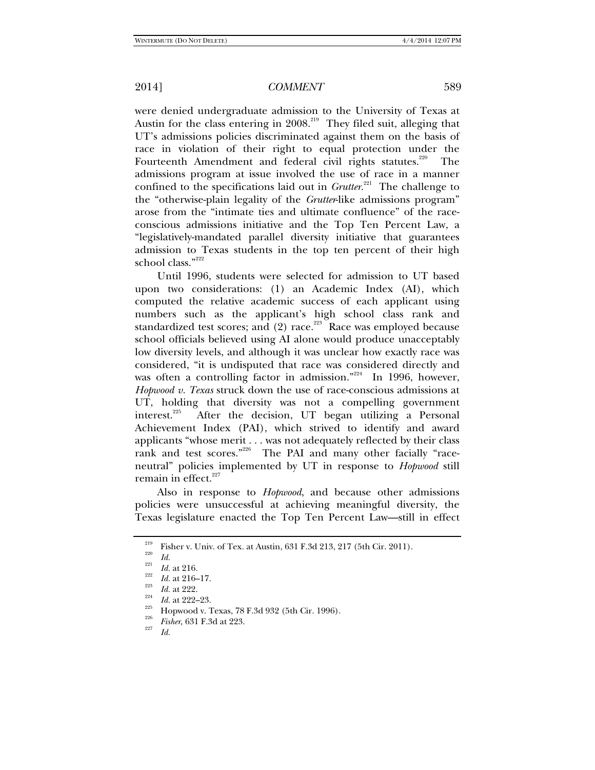were denied undergraduate admission to the University of Texas at Austin for the class entering in 2008.<sup>219</sup> They filed suit, alleging that UT's admissions policies discriminated against them on the basis of race in violation of their right to equal protection under the Fourteenth Amendment and federal civil rights statutes.<sup>220</sup> The admissions program at issue involved the use of race in a manner confined to the specifications laid out in *Grutter*. 221 The challenge to the "otherwise-plain legality of the *Grutter*-like admissions program" arose from the "intimate ties and ultimate confluence" of the raceconscious admissions initiative and the Top Ten Percent Law, a "legislatively-mandated parallel diversity initiative that guarantees admission to Texas students in the top ten percent of their high school class."<sup>222</sup>

Until 1996, students were selected for admission to UT based upon two considerations: (1) an Academic Index (AI), which computed the relative academic success of each applicant using numbers such as the applicant's high school class rank and standardized test scores; and  $(2)$  race.<sup>223</sup> Race was employed because school officials believed using AI alone would produce unacceptably low diversity levels, and although it was unclear how exactly race was considered, "it is undisputed that race was considered directly and was often a controlling factor in admission."<sup>224</sup> In 1996, however, *Hopwood v. Texas* struck down the use of race-conscious admissions at UT, holding that diversity was not a compelling government interest.<sup>225</sup> After the decision, UT began utilizing a Personal After the decision, UT began utilizing a Personal Achievement Index (PAI), which strived to identify and award applicants "whose merit . . . was not adequately reflected by their class rank and test scores."<sup>226</sup> The PAI and many other facially "raceneutral" policies implemented by UT in response to *Hopwood* still remain in effect.<sup>227</sup>

Also in response to *Hopwood*, and because other admissions policies were unsuccessful at achieving meaningful diversity, the Texas legislature enacted the Top Ten Percent Law—still in effect

<sup>&</sup>lt;sup>219</sup> Fisher v. Univ. of Tex. at Austin, 631 F.3d 213, 217 (5th Cir. 2011).<br><sup>220</sup> *Id.* 221 *Id.* at 216.

<sup>&</sup>lt;sup>222</sup> *Id.* at 216–17.<br><sup>223</sup> *Id.* at 222.<br>*Id.* at 222–23.

*Id.* at 222–23. 225 Hopwood v. Texas, 78 F.3d 932 (5th Cir. 1996). 226 *Fisher*, 631 F.3d at 223. 227 *Id.*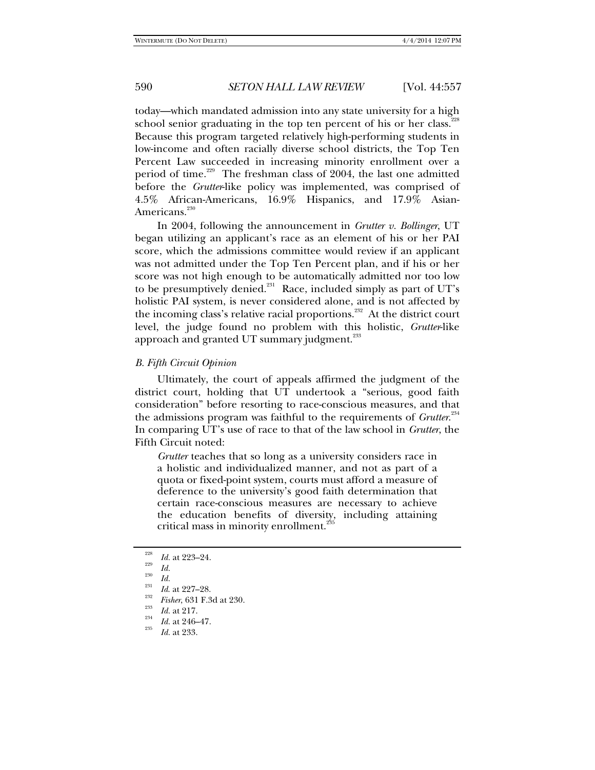today—which mandated admission into any state university for a high school senior graduating in the top ten percent of his or her class.<sup>228</sup> Because this program targeted relatively high-performing students in low-income and often racially diverse school districts, the Top Ten Percent Law succeeded in increasing minority enrollment over a period of time.<sup>229</sup> The freshman class of 2004, the last one admitted before the *Grutter*-like policy was implemented, was comprised of 4.5% African-Americans, 16.9% Hispanics, and 17.9% Asian-Americans.<sup>230</sup>

In 2004, following the announcement in *Grutter v. Bollinger*, UT began utilizing an applicant's race as an element of his or her PAI score, which the admissions committee would review if an applicant was not admitted under the Top Ten Percent plan, and if his or her score was not high enough to be automatically admitted nor too low to be presumptively denied. $231$  Race, included simply as part of UT's holistic PAI system, is never considered alone, and is not affected by the incoming class's relative racial proportions.<sup>232</sup> At the district court level, the judge found no problem with this holistic, *Grutter*-like approach and granted UT summary judgment.<sup>233</sup>

## *B. Fifth Circuit Opinion*

Ultimately, the court of appeals affirmed the judgment of the district court, holding that UT undertook a "serious, good faith consideration" before resorting to race-conscious measures, and that the admissions program was faithful to the requirements of *Grutter*. 234 In comparing UT's use of race to that of the law school in *Grutter*, the Fifth Circuit noted:

*Grutter* teaches that so long as a university considers race in a holistic and individualized manner, and not as part of a quota or fixed-point system, courts must afford a measure of deference to the university's good faith determination that certain race-conscious measures are necessary to achieve the education benefits of diversity, including attaining critical mass in minority enrollment.<sup>235</sup>

<sup>&</sup>lt;sup>228</sup> *Id.* at 223–24.

<sup>&</sup>lt;sup>230</sup>*Id.*<br><sup>231</sup>*Id.* at 227–28.

<sup>&</sup>lt;sup>232</sup> *Fisher*, 631 F.3d at 230.<br><sup>233</sup> *Id.* at 217.

*Id.* at 217. 234 *Id.* at 246–47. 235 *Id.* at 233.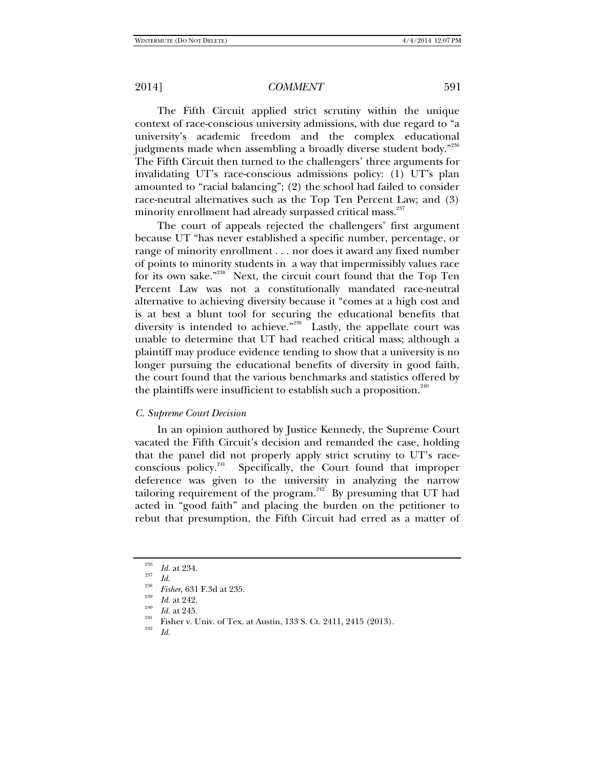The Fifth Circuit applied strict scrutiny within the unique context of race-conscious university admissions, with due regard to "a university's academic freedom and the complex educational judgments made when assembling a broadly diverse student body."236 The Fifth Circuit then turned to the challengers' three arguments for invalidating UT's race-conscious admissions policy: (1) UT's plan amounted to "racial balancing"; (2) the school had failed to consider race-neutral alternatives such as the Top Ten Percent Law; and (3) minority enrollment had already surpassed critical mass.<sup>237</sup>

The court of appeals rejected the challengers' first argument because UT "has never established a specific number, percentage, or range of minority enrollment . . . nor does it award any fixed number of points to minority students in a way that impermissibly values race for its own sake."<sup>238</sup> Next, the circuit court found that the Top Ten Percent Law was not a constitutionally mandated race-neutral alternative to achieving diversity because it "comes at a high cost and is at best a blunt tool for securing the educational benefits that diversity is intended to achieve."<sup>239</sup> Lastly, the appellate court was unable to determine that UT had reached critical mass; although a plaintiff may produce evidence tending to show that a university is no longer pursuing the educational benefits of diversity in good faith, the court found that the various benchmarks and statistics offered by the plaintiffs were insufficient to establish such a proposition. $240$ 

#### *C. Supreme Court Decision*

In an opinion authored by Justice Kennedy, the Supreme Court vacated the Fifth Circuit's decision and remanded the case, holding that the panel did not properly apply strict scrutiny to UT's raceconscious policy.<sup>241</sup> Specifically, the Court found that improper deference was given to the university in analyzing the narrow tailoring requirement of the program.<sup>242</sup> By presuming that UT had acted in "good faith" and placing the burden on the petitioner to rebut that presumption, the Fifth Circuit had erred as a matter of

<sup>236</sup>

<sup>&</sup>lt;sup>236</sup> *Id.* at 234.<br><sup>238</sup> *Id.*<br>*Fisher*, 631 F.3d at 235.

<sup>&</sup>lt;sup>239</sup> *Id.* at 242.<br><sup>240</sup> *Id.* at 245.

<sup>&</sup>lt;sup>241</sup> Fisher v. Univ. of Tex. at Austin, 133 S. Ct. 2411, 2415 (2013).<br><sup>242</sup> *Id.*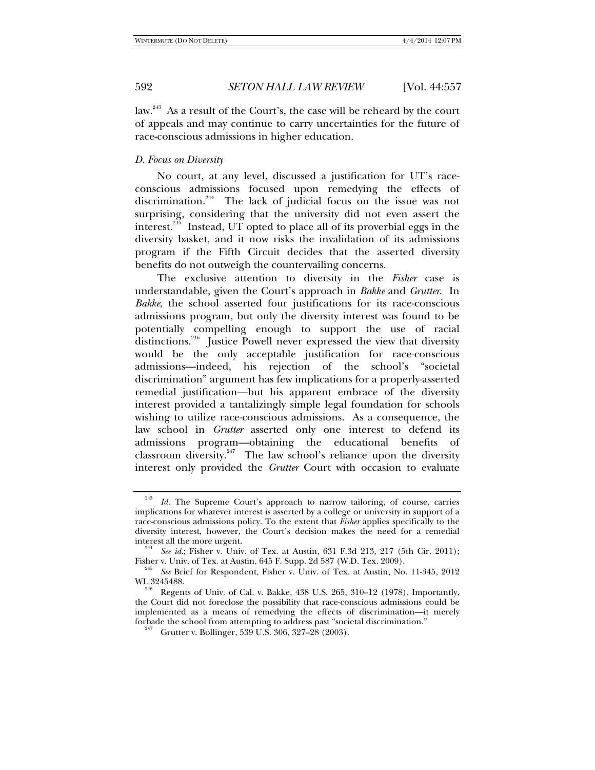law.<sup>243</sup> As a result of the Court's, the case will be reheard by the court of appeals and may continue to carry uncertainties for the future of race-conscious admissions in higher education.

# *D. Focus on Diversity*

No court, at any level, discussed a justification for UT's raceconscious admissions focused upon remedying the effects of discrimination.<sup>244</sup> The lack of judicial focus on the issue was not surprising, considering that the university did not even assert the interest.<sup>245</sup> Instead, UT opted to place all of its proverbial eggs in the diversity basket, and it now risks the invalidation of its admissions program if the Fifth Circuit decides that the asserted diversity benefits do not outweigh the countervailing concerns.

The exclusive attention to diversity in the *Fisher* case is understandable, given the Court's approach in *Bakke* and *Grutter*. In *Bakke*, the school asserted four justifications for its race-conscious admissions program, but only the diversity interest was found to be potentially compelling enough to support the use of racial distinctions.<sup>246</sup> Justice Powell never expressed the view that diversity would be the only acceptable justification for race-conscious admissions—indeed, his rejection of the school's "societal discrimination" argument has few implications for a properly-asserted remedial justification—but his apparent embrace of the diversity interest provided a tantalizingly simple legal foundation for schools wishing to utilize race-conscious admissions. As a consequence, the law school in *Grutter* asserted only one interest to defend its admissions program—obtaining the educational benefits of classroom diversity.<sup>247</sup> The law school's reliance upon the diversity interest only provided the *Grutter* Court with occasion to evaluate

<sup>&</sup>lt;sup>243</sup> *Id.* The Supreme Court's approach to narrow tailoring, of course, carries implications for whatever interest is asserted by a college or university in support of a race-conscious admissions policy. To the extent that *Fisher* applies specifically to the diversity interest, however, the Court's decision makes the need for a remedial

interest all the more urgent.<br><sup>244</sup> *See id.*; Fisher v. Univ. of Tex. at Austin, 631 F.3d 213, 217 (5th Cir. 2011);

Fisher v. Univ. of Tex. at Austin, 645 F. Supp. 2d 587 (W.D. Tex. 2009).<br><sup>245</sup> *See* Brief for Respondent, Fisher v. Univ. of Tex. at Austin, No. 11-345, 2012 WL 3245488.<br><sup>246</sup> Regents of Univ. of Cal. v. Bakke, 438 U.S. 265, 310–12 (1978). Importantly,

the Court did not foreclose the possibility that race-conscious admissions could be implemented as a means of remedying the effects of discrimination—it merely

<sup>&</sup>lt;sup>247</sup> Grutter v. Bollinger, 539 U.S. 306, 327–28 (2003).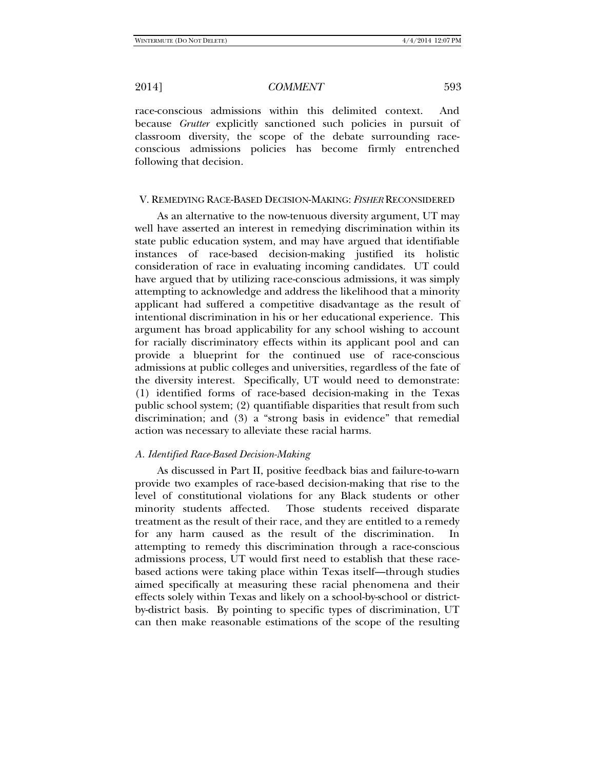race-conscious admissions within this delimited context. And because *Grutter* explicitly sanctioned such policies in pursuit of classroom diversity, the scope of the debate surrounding raceconscious admissions policies has become firmly entrenched following that decision.

#### V. REMEDYING RACE-BASED DECISION-MAKING: *FISHER* RECONSIDERED

As an alternative to the now-tenuous diversity argument, UT may well have asserted an interest in remedying discrimination within its state public education system, and may have argued that identifiable instances of race-based decision-making justified its holistic consideration of race in evaluating incoming candidates. UT could have argued that by utilizing race-conscious admissions, it was simply attempting to acknowledge and address the likelihood that a minority applicant had suffered a competitive disadvantage as the result of intentional discrimination in his or her educational experience. This argument has broad applicability for any school wishing to account for racially discriminatory effects within its applicant pool and can provide a blueprint for the continued use of race-conscious admissions at public colleges and universities, regardless of the fate of the diversity interest. Specifically, UT would need to demonstrate: (1) identified forms of race-based decision-making in the Texas public school system; (2) quantifiable disparities that result from such discrimination; and (3) a "strong basis in evidence" that remedial action was necessary to alleviate these racial harms.

### *A. Identified Race-Based Decision-Making*

As discussed in Part II, positive feedback bias and failure-to-warn provide two examples of race-based decision-making that rise to the level of constitutional violations for any Black students or other minority students affected. Those students received disparate treatment as the result of their race, and they are entitled to a remedy for any harm caused as the result of the discrimination. In attempting to remedy this discrimination through a race-conscious admissions process, UT would first need to establish that these racebased actions were taking place within Texas itself—through studies aimed specifically at measuring these racial phenomena and their effects solely within Texas and likely on a school-by-school or districtby-district basis. By pointing to specific types of discrimination, UT can then make reasonable estimations of the scope of the resulting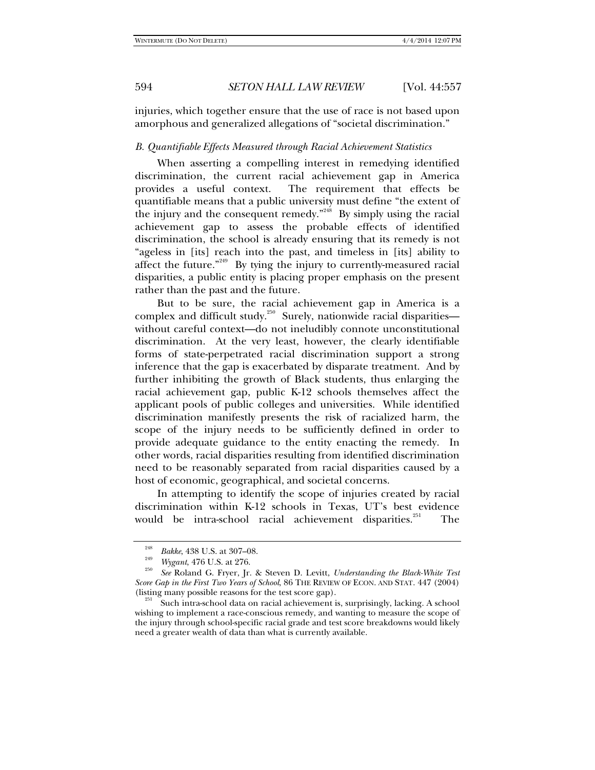injuries, which together ensure that the use of race is not based upon amorphous and generalized allegations of "societal discrimination."

### *B. Quantifiable Effects Measured through Racial Achievement Statistics*

When asserting a compelling interest in remedying identified discrimination, the current racial achievement gap in America provides a useful context. The requirement that effects be quantifiable means that a public university must define "the extent of the injury and the consequent remedy."<sup>248</sup> By simply using the racial achievement gap to assess the probable effects of identified discrimination, the school is already ensuring that its remedy is not "ageless in [its] reach into the past, and timeless in [its] ability to affect the future. $n^{249}$  By tying the injury to currently-measured racial disparities, a public entity is placing proper emphasis on the present rather than the past and the future.

But to be sure, the racial achievement gap in America is a complex and difficult study.<sup>250</sup> Surely, nationwide racial disparitieswithout careful context—do not ineludibly connote unconstitutional discrimination. At the very least, however, the clearly identifiable forms of state-perpetrated racial discrimination support a strong inference that the gap is exacerbated by disparate treatment. And by further inhibiting the growth of Black students, thus enlarging the racial achievement gap, public K-12 schools themselves affect the applicant pools of public colleges and universities. While identified discrimination manifestly presents the risk of racialized harm, the scope of the injury needs to be sufficiently defined in order to provide adequate guidance to the entity enacting the remedy. In other words, racial disparities resulting from identified discrimination need to be reasonably separated from racial disparities caused by a host of economic, geographical, and societal concerns.

In attempting to identify the scope of injuries created by racial discrimination within K-12 schools in Texas, UT's best evidence would be intra-school racial achievement disparities.<sup>251</sup> The

<sup>&</sup>lt;sup>248</sup> *Bakke*, 438 U.S. at 307–08.

<sup>&</sup>lt;sup>249</sup> *Wygant*, 476 U.S. at 276.

*See* Roland G. Fryer, Jr. & Steven D. Levitt, *Understanding the Black-White Test Score Gap in the First Two Years of School*, 86 THE REVIEW OF ECON. AND STAT. 447 (2004) (listing many possible reasons for the test score gap).

Such intra-school data on racial achievement is, surprisingly, lacking. A school wishing to implement a race-conscious remedy, and wanting to measure the scope of the injury through school-specific racial grade and test score breakdowns would likely need a greater wealth of data than what is currently available.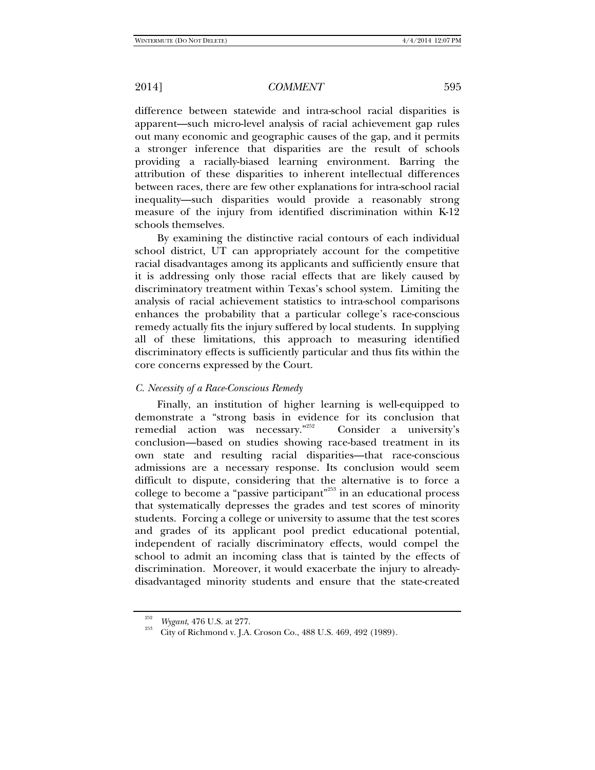difference between statewide and intra-school racial disparities is apparent—such micro-level analysis of racial achievement gap rules out many economic and geographic causes of the gap, and it permits a stronger inference that disparities are the result of schools providing a racially-biased learning environment. Barring the attribution of these disparities to inherent intellectual differences between races, there are few other explanations for intra-school racial inequality—such disparities would provide a reasonably strong measure of the injury from identified discrimination within K-12 schools themselves.

By examining the distinctive racial contours of each individual school district, UT can appropriately account for the competitive racial disadvantages among its applicants and sufficiently ensure that it is addressing only those racial effects that are likely caused by discriminatory treatment within Texas's school system. Limiting the analysis of racial achievement statistics to intra-school comparisons enhances the probability that a particular college's race-conscious remedy actually fits the injury suffered by local students. In supplying all of these limitations, this approach to measuring identified discriminatory effects is sufficiently particular and thus fits within the core concerns expressed by the Court.

#### *C. Necessity of a Race-Conscious Remedy*

Finally, an institution of higher learning is well-equipped to demonstrate a "strong basis in evidence for its conclusion that remedial action was necessary."<sup>252</sup> Consider a university's conclusion—based on studies showing race-based treatment in its own state and resulting racial disparities—that race-conscious admissions are a necessary response. Its conclusion would seem difficult to dispute, considering that the alternative is to force a college to become a "passive participant"253 in an educational process that systematically depresses the grades and test scores of minority students. Forcing a college or university to assume that the test scores and grades of its applicant pool predict educational potential, independent of racially discriminatory effects, would compel the school to admit an incoming class that is tainted by the effects of discrimination. Moreover, it would exacerbate the injury to alreadydisadvantaged minority students and ensure that the state-created

<sup>&</sup>lt;sup>252</sup> *Wygant*, 476 U.S. at 277.<br><sup>253</sup> City of Richmond v. J.A. Croson Co., 488 U.S. 469, 492 (1989).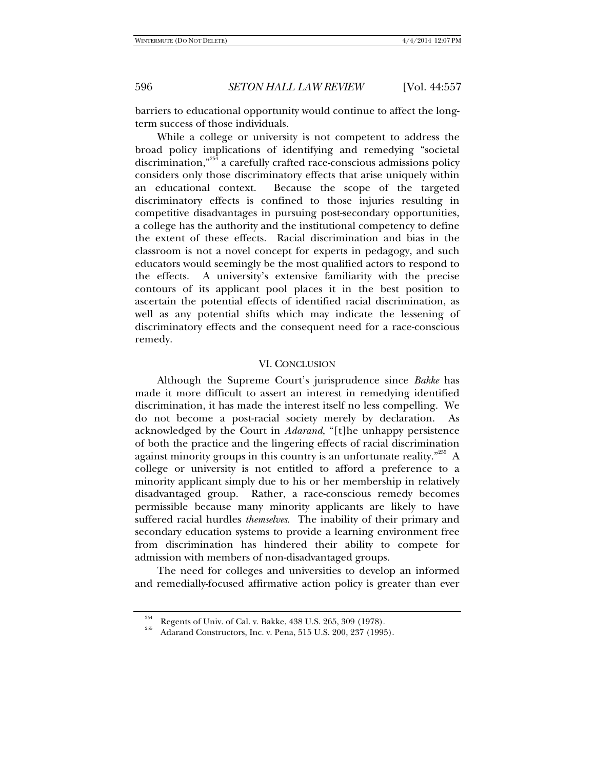barriers to educational opportunity would continue to affect the longterm success of those individuals.

While a college or university is not competent to address the broad policy implications of identifying and remedying "societal discrimination,"254 a carefully crafted race-conscious admissions policy considers only those discriminatory effects that arise uniquely within an educational context. Because the scope of the targeted discriminatory effects is confined to those injuries resulting in competitive disadvantages in pursuing post-secondary opportunities, a college has the authority and the institutional competency to define the extent of these effects. Racial discrimination and bias in the classroom is not a novel concept for experts in pedagogy, and such educators would seemingly be the most qualified actors to respond to the effects. A university's extensive familiarity with the precise contours of its applicant pool places it in the best position to ascertain the potential effects of identified racial discrimination, as well as any potential shifts which may indicate the lessening of discriminatory effects and the consequent need for a race-conscious remedy.

#### VI. CONCLUSION

Although the Supreme Court's jurisprudence since *Bakke* has made it more difficult to assert an interest in remedying identified discrimination, it has made the interest itself no less compelling. We do not become a post-racial society merely by declaration. As acknowledged by the Court in *Adarand*, "[t]he unhappy persistence of both the practice and the lingering effects of racial discrimination against minority groups in this country is an unfortunate reality."<sup>255</sup> A college or university is not entitled to afford a preference to a minority applicant simply due to his or her membership in relatively disadvantaged group. Rather, a race-conscious remedy becomes permissible because many minority applicants are likely to have suffered racial hurdles *themselves*. The inability of their primary and secondary education systems to provide a learning environment free from discrimination has hindered their ability to compete for admission with members of non-disadvantaged groups.

The need for colleges and universities to develop an informed and remedially-focused affirmative action policy is greater than ever

<sup>&</sup>lt;sup>254</sup> Regents of Univ. of Cal. v. Bakke, 438 U.S. 265, 309 (1978).<br>Adarand Constructors, Inc. v. Pena, 515 U.S. 200, 237 (1995).